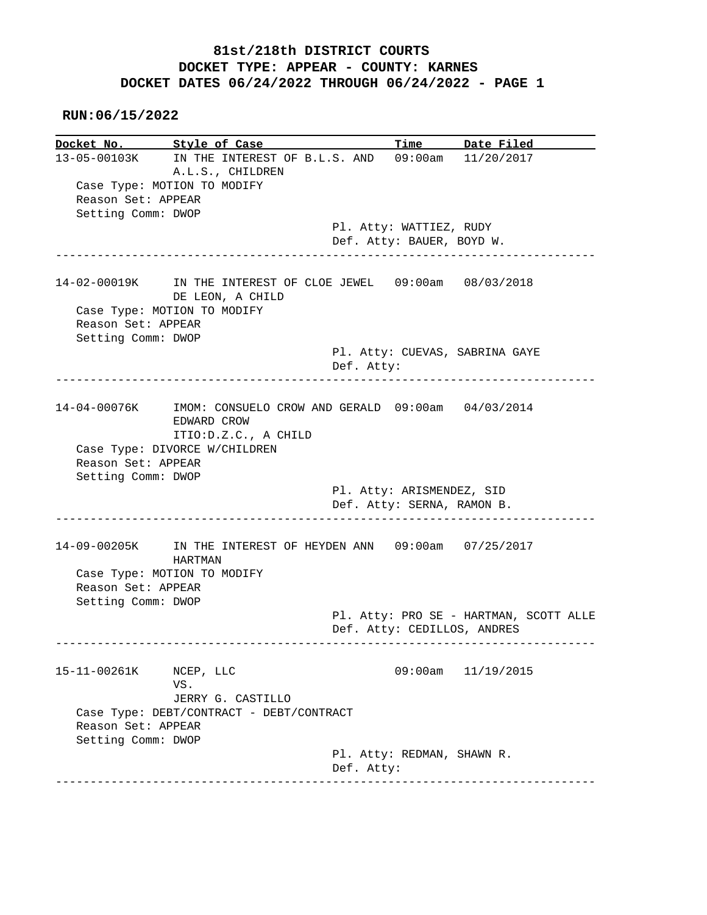**RUN:06/15/2022**

**Docket No. Style of Case Time Date Filed**<br>13-05-00103K IN THE INTEREST OF B.L.S. AND 09:00am 11/20/2017 13-05-00103K IN THE INTEREST OF B.L.S. AND 09:00am 11/20/2017 A.L.S., CHILDREN Case Type: MOTION TO MODIFY Reason Set: APPEAR Setting Comm: DWOP Pl. Atty: WATTIEZ, RUDY Def. Atty: BAUER, BOYD W. ------------------------------------------------------------------------------ 14-02-00019K IN THE INTEREST OF CLOE JEWEL 09:00am 08/03/2018 DE LEON, A CHILD Case Type: MOTION TO MODIFY Reason Set: APPEAR Setting Comm: DWOP Pl. Atty: CUEVAS, SABRINA GAYE Def. Atty: ------------------------------------------------------------------------------ 14-04-00076K IMOM: CONSUELO CROW AND GERALD 09:00am 04/03/2014 EDWARD CROW ITIO:D.Z.C., A CHILD Case Type: DIVORCE W/CHILDREN Reason Set: APPEAR Setting Comm: DWOP Pl. Atty: ARISMENDEZ, SID Def. Atty: SERNA, RAMON B. ------------------------------------------------------------------------------ 14-09-00205K IN THE INTEREST OF HEYDEN ANN 09:00am 07/25/2017 HARTMAN Case Type: MOTION TO MODIFY Reason Set: APPEAR Setting Comm: DWOP Pl. Atty: PRO SE - HARTMAN, SCOTT ALLE Def. Atty: CEDILLOS, ANDRES ------------------------------------------------------------------------------ 15-11-00261K NCEP, LLC 09:00am 11/19/2015 VS. JERRY G. CASTILLO Case Type: DEBT/CONTRACT - DEBT/CONTRACT Reason Set: APPEAR Setting Comm: DWOP Pl. Atty: REDMAN, SHAWN R. Def. Atty: ------------------------------------------------------------------------------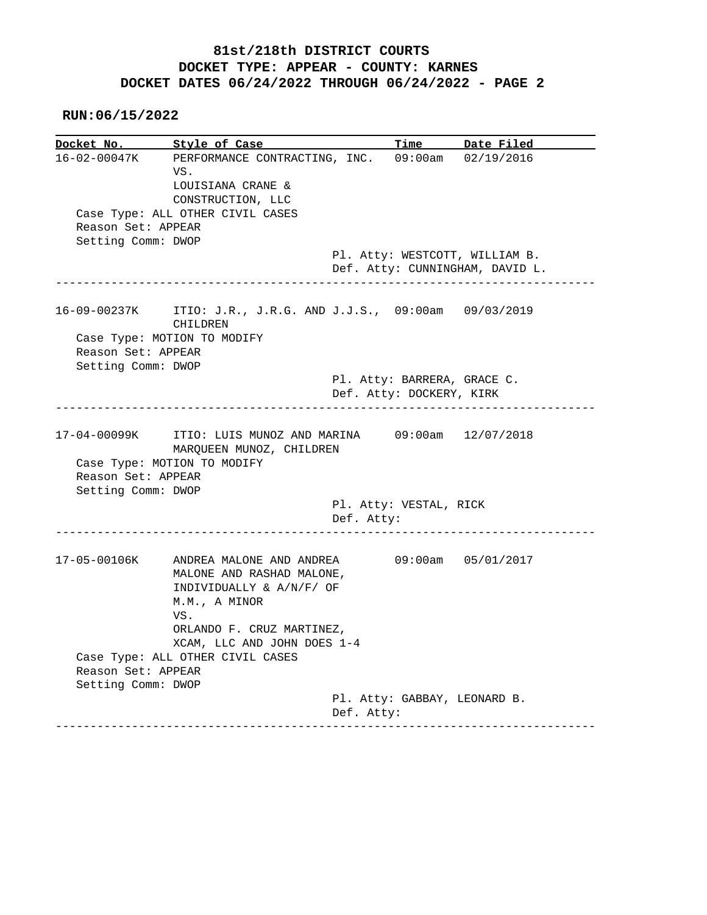|                                          | <u>Style of Case</u>                                                                                      |            |                             | Time Date Filed                                                   |
|------------------------------------------|-----------------------------------------------------------------------------------------------------------|------------|-----------------------------|-------------------------------------------------------------------|
| 16-02-00047K                             | PERFORMANCE CONTRACTING, INC.<br>VS.<br>LOUISIANA CRANE &<br>CONSTRUCTION, LLC                            |            |                             | 09:00am 02/19/2016                                                |
|                                          | Case Type: ALL OTHER CIVIL CASES                                                                          |            |                             |                                                                   |
| Reason Set: APPEAR                       |                                                                                                           |            |                             |                                                                   |
| Setting Comm: DWOP                       |                                                                                                           |            |                             |                                                                   |
|                                          |                                                                                                           |            |                             | Pl. Atty: WESTCOTT, WILLIAM B.<br>Def. Atty: CUNNINGHAM, DAVID L. |
| 16-09-00237K                             | ITIO: J.R., J.R.G. AND J.J.S., $09:00am$ $09/03/2019$<br>CHILDREN<br>Case Type: MOTION TO MODIFY          |            |                             |                                                                   |
| Reason Set: APPEAR                       |                                                                                                           |            |                             |                                                                   |
| Setting Comm: DWOP                       |                                                                                                           |            |                             |                                                                   |
|                                          |                                                                                                           |            | Pl. Atty: BARRERA, GRACE C. |                                                                   |
|                                          |                                                                                                           |            | Def. Atty: DOCKERY, KIRK    |                                                                   |
| 17-04-00099K                             | ITIO: LUIS MUNOZ AND MARINA 09:00am 12/07/2018                                                            |            |                             |                                                                   |
| Reason Set: APPEAR<br>Setting Comm: DWOP | MARQUEEN MUNOZ, CHILDREN<br>Case Type: MOTION TO MODIFY                                                   |            |                             |                                                                   |
|                                          |                                                                                                           | Def. Atty: | Pl. Atty: VESTAL, RICK      |                                                                   |
| 17-05-00106K                             | ANDREA MALONE AND ANDREA<br>MALONE AND RASHAD MALONE,<br>INDIVIDUALLY & A/N/F/ OF<br>M.M., A MINOR<br>VS. |            |                             | 09:00am 05/01/2017                                                |
|                                          | ORLANDO F. CRUZ MARTINEZ,                                                                                 |            |                             |                                                                   |
|                                          | XCAM, LLC AND JOHN DOES 1-4                                                                               |            |                             |                                                                   |
|                                          | Case Type: ALL OTHER CIVIL CASES                                                                          |            |                             |                                                                   |
| Reason Set: APPEAR                       |                                                                                                           |            |                             |                                                                   |
| Setting Comm: DWOP                       |                                                                                                           |            |                             | Pl. Atty: GABBAY, LEONARD B.                                      |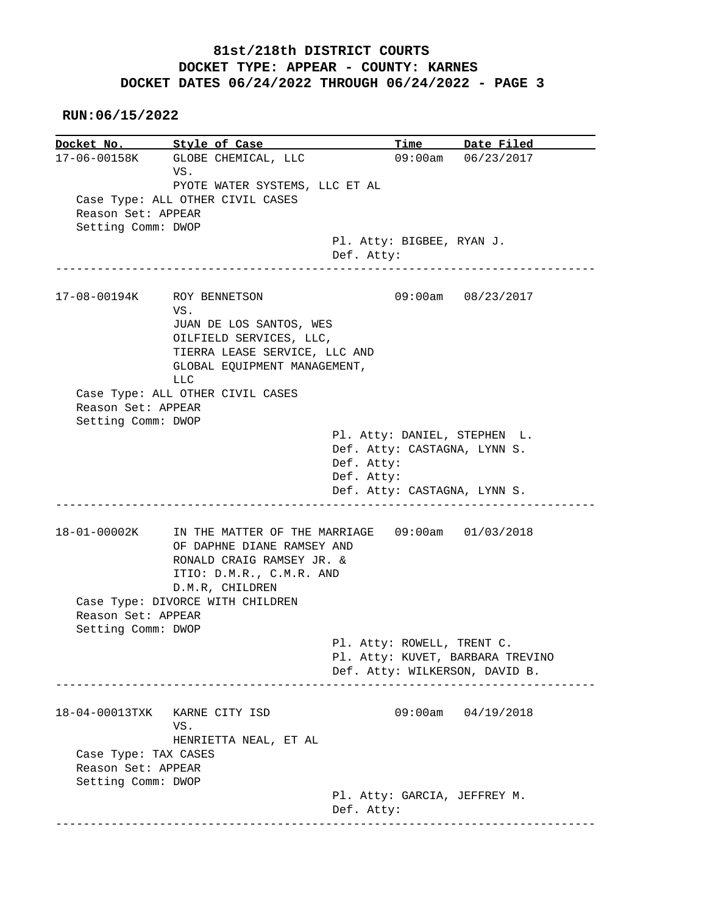**RUN:06/15/2022**

**Docket No.** Style of Case Time Date Filed 17-06-00158K GLOBE CHEMICAL, LLC 09:00am 06/23/2017 VS. PYOTE WATER SYSTEMS, LLC ET AL Case Type: ALL OTHER CIVIL CASES Reason Set: APPEAR Setting Comm: DWOP Pl. Atty: BIGBEE, RYAN J. Def. Atty: ------------------------------------------------------------------------------ 17-08-00194K ROY BENNETSON 09:00am 08/23/2017 VS. JUAN DE LOS SANTOS, WES OILFIELD SERVICES, LLC, TIERRA LEASE SERVICE, LLC AND GLOBAL EQUIPMENT MANAGEMENT, LLC Case Type: ALL OTHER CIVIL CASES Reason Set: APPEAR Setting Comm: DWOP Pl. Atty: DANIEL, STEPHEN L. Def. Atty: CASTAGNA, LYNN S. Def. Atty: Def. Atty: Def. Atty: CASTAGNA, LYNN S. ------------------------------------------------------------------------------ 18-01-00002K IN THE MATTER OF THE MARRIAGE 09:00am 01/03/2018 OF DAPHNE DIANE RAMSEY AND RONALD CRAIG RAMSEY JR. & ITIO: D.M.R., C.M.R. AND D.M.R, CHILDREN Case Type: DIVORCE WITH CHILDREN Reason Set: APPEAR Setting Comm: DWOP Pl. Atty: ROWELL, TRENT C. Pl. Atty: KUVET, BARBARA TREVINO Def. Atty: WILKERSON, DAVID B. ------------------------------------------------------------------------------ 18-04-00013TXK KARNE CITY ISD 09:00am 04/19/2018 VS. HENRIETTA NEAL, ET AL Case Type: TAX CASES Reason Set: APPEAR Setting Comm: DWOP Pl. Atty: GARCIA, JEFFREY M. Def. Atty: ------------------------------------------------------------------------------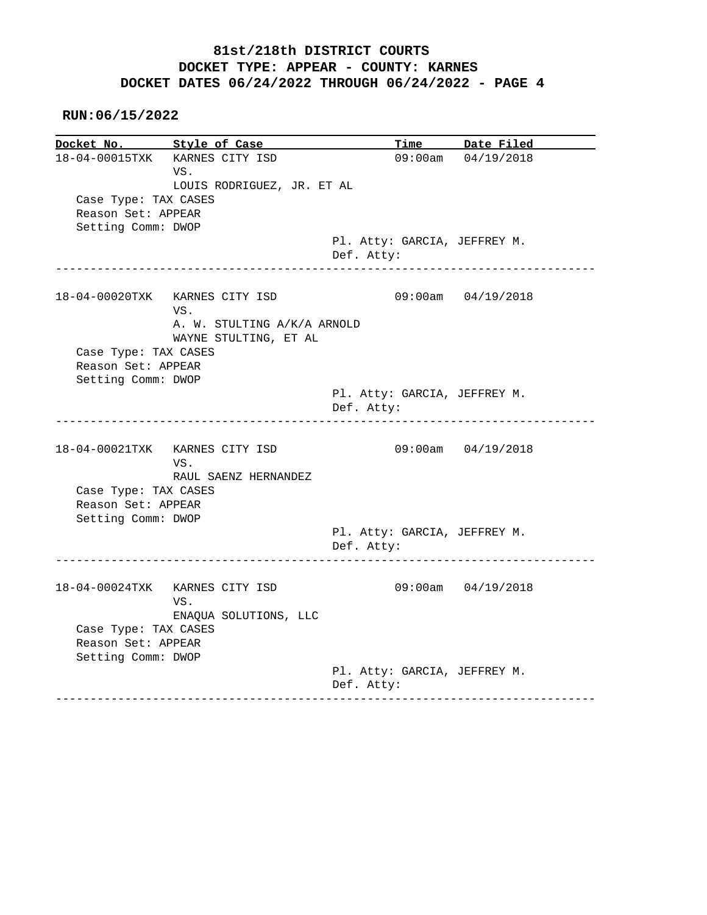#### **RUN:06/15/2022**

**Docket No. Style of Case Time Date Filed**  18-04-00015TXK KARNES CITY ISD 09:00am 04/19/2018 VS. LOUIS RODRIGUEZ, JR. ET AL Case Type: TAX CASES Reason Set: APPEAR Setting Comm: DWOP Pl. Atty: GARCIA, JEFFREY M. Def. Atty: ------------------------------------------------------------------------------ 18-04-00020TXK KARNES CITY ISD 09:00am 04/19/2018 VS. A. W. STULTING A/K/A ARNOLD WAYNE STULTING, ET AL Case Type: TAX CASES Reason Set: APPEAR Setting Comm: DWOP Pl. Atty: GARCIA, JEFFREY M. Def. Atty: ------------------------------------------------------------------------------ 18-04-00021TXK KARNES CITY ISD 09:00am 04/19/2018 VS. RAUL SAENZ HERNANDEZ Case Type: TAX CASES Reason Set: APPEAR Setting Comm: DWOP Pl. Atty: GARCIA, JEFFREY M. Def. Atty: ------------------------------------------------------------------------------ 18-04-00024TXK KARNES CITY ISD 09:00am 04/19/2018 VS. ENAQUA SOLUTIONS, LLC Case Type: TAX CASES Reason Set: APPEAR Setting Comm: DWOP Pl. Atty: GARCIA, JEFFREY M. Def. Atty: ------------------------------------------------------------------------------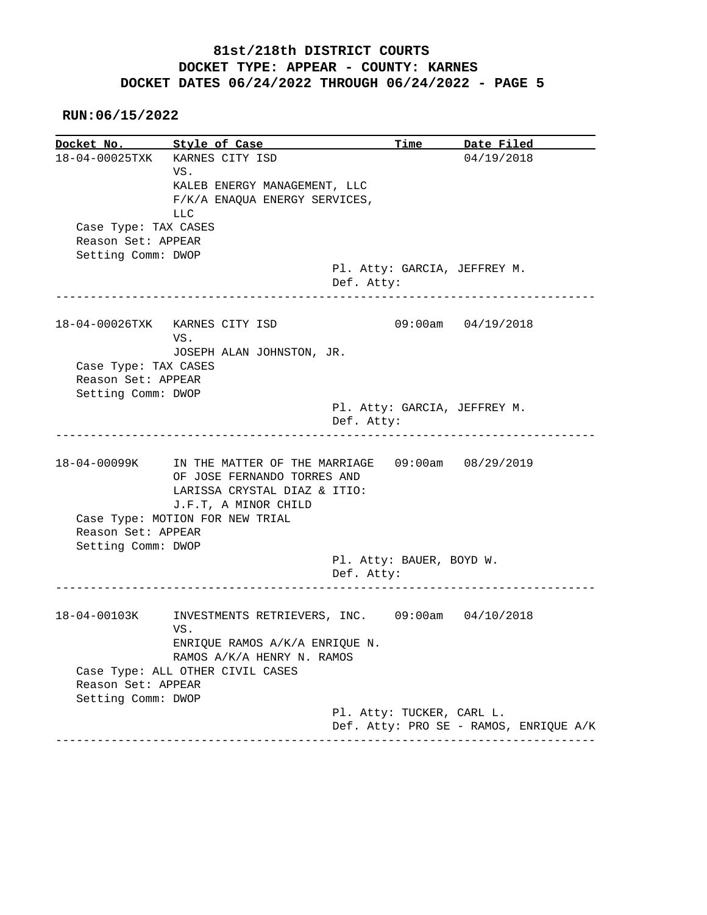**RUN:06/15/2022**

**Docket No. Style of Case Time Date Filed**  18-04-00025TXK KARNES CITY ISD 04/19/2018 VS. KALEB ENERGY MANAGEMENT, LLC F/K/A ENAQUA ENERGY SERVICES, LLC Case Type: TAX CASES Reason Set: APPEAR Setting Comm: DWOP Pl. Atty: GARCIA, JEFFREY M. Def. Atty: ------------------------------------------------------------------------------ 18-04-00026TXK KARNES CITY ISD 09:00am 04/19/2018 VS. JOSEPH ALAN JOHNSTON, JR. Case Type: TAX CASES Reason Set: APPEAR Setting Comm: DWOP Pl. Atty: GARCIA, JEFFREY M. Def. Atty: ------------------------------------------------------------------------------ 18-04-00099K IN THE MATTER OF THE MARRIAGE 09:00am 08/29/2019 OF JOSE FERNANDO TORRES AND LARISSA CRYSTAL DIAZ & ITIO: J.F.T, A MINOR CHILD Case Type: MOTION FOR NEW TRIAL Reason Set: APPEAR Setting Comm: DWOP Pl. Atty: BAUER, BOYD W. Def. Atty: ------------------------------------------------------------------------------ 18-04-00103K INVESTMENTS RETRIEVERS, INC. 09:00am 04/10/2018 VS. ENRIQUE RAMOS A/K/A ENRIQUE N. RAMOS A/K/A HENRY N. RAMOS Case Type: ALL OTHER CIVIL CASES Reason Set: APPEAR Setting Comm: DWOP Pl. Atty: TUCKER, CARL L. Def. Atty: PRO SE - RAMOS, ENRIQUE A/K ------------------------------------------------------------------------------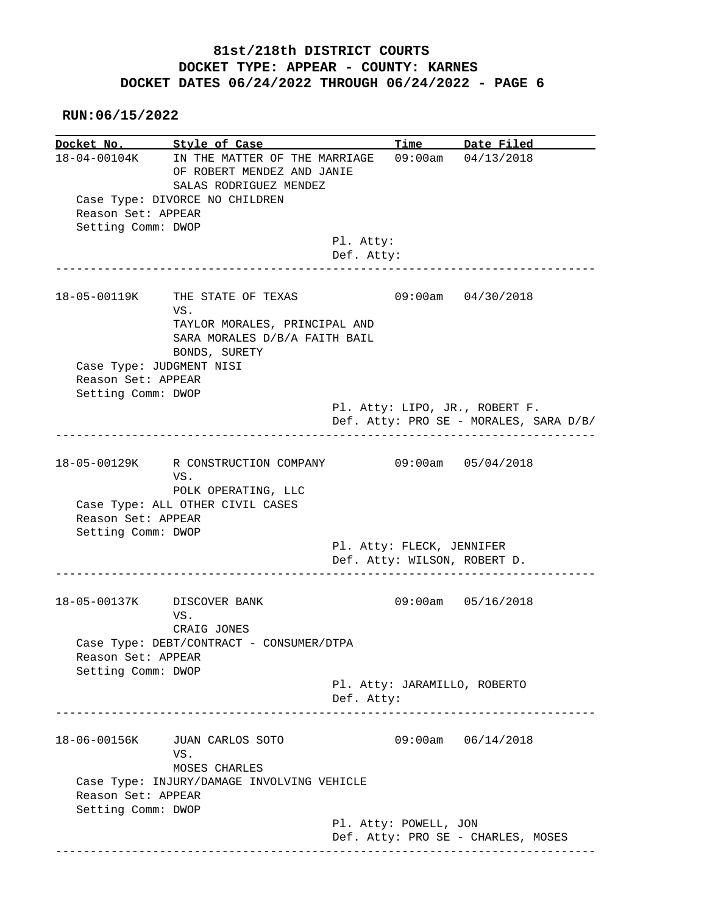|                                          | Docket No. Style of Case                                                                                                             |            |                           | Time Date Filed                                                          |
|------------------------------------------|--------------------------------------------------------------------------------------------------------------------------------------|------------|---------------------------|--------------------------------------------------------------------------|
| Reason Set: APPEAR<br>Setting Comm: DWOP | 18-04-00104K IN THE MATTER OF THE MARRIAGE<br>OF ROBERT MENDEZ AND JANIE<br>SALAS RODRIGUEZ MENDEZ<br>Case Type: DIVORCE NO CHILDREN |            |                           | $09:00$ am $04/13/2018$                                                  |
|                                          |                                                                                                                                      | Pl. Atty:  |                           |                                                                          |
|                                          |                                                                                                                                      | Def. Atty: |                           | ________________________                                                 |
|                                          | 18-05-00119K THE STATE OF TEXAS<br>VS.<br>TAYLOR MORALES, PRINCIPAL AND<br>SARA MORALES D/B/A FAITH BAIL                             |            |                           | 09:00am 04/30/2018                                                       |
|                                          | BONDS, SURETY<br>Case Type: JUDGMENT NISI                                                                                            |            |                           |                                                                          |
| Reason Set: APPEAR                       |                                                                                                                                      |            |                           |                                                                          |
| Setting Comm: DWOP                       |                                                                                                                                      |            |                           |                                                                          |
|                                          |                                                                                                                                      |            |                           | Pl. Atty: LIPO, JR., ROBERT F.<br>Def. Atty: PRO SE - MORALES, SARA D/B/ |
|                                          |                                                                                                                                      |            |                           |                                                                          |
|                                          |                                                                                                                                      |            |                           |                                                                          |
|                                          | 18-05-00129K R CONSTRUCTION COMPANY<br>VS.                                                                                           |            | $09:00am$ $05/04/2018$    |                                                                          |
| Reason Set: APPEAR                       | POLK OPERATING, LLC<br>Case Type: ALL OTHER CIVIL CASES                                                                              |            |                           |                                                                          |
| Setting Comm: DWOP                       |                                                                                                                                      |            | Pl. Atty: FLECK, JENNIFER |                                                                          |
|                                          |                                                                                                                                      |            |                           | Def. Atty: WILSON, ROBERT D.                                             |
|                                          | 18-05-00137K DISCOVER BANK<br>VS.                                                                                                    |            |                           | 09:00am 05/16/2018                                                       |
| Reason Set: APPEAR                       | CRAIG JONES<br>Case Type: DEBT/CONTRACT - CONSUMER/DTPA                                                                              |            |                           |                                                                          |
| Setting Comm: DWOP                       |                                                                                                                                      |            |                           | Pl. Atty: JARAMILLO, ROBERTO                                             |
|                                          |                                                                                                                                      | Def. Atty: |                           | ---------------------------                                              |
|                                          | 18-06-00156K JUAN CARLOS SOTO<br>VS.                                                                                                 |            |                           | $09:00am$ $06/14/2018$                                                   |
| Reason Set: APPEAR<br>Setting Comm: DWOP | MOSES CHARLES<br>Case Type: INJURY/DAMAGE INVOLVING VEHICLE                                                                          |            |                           |                                                                          |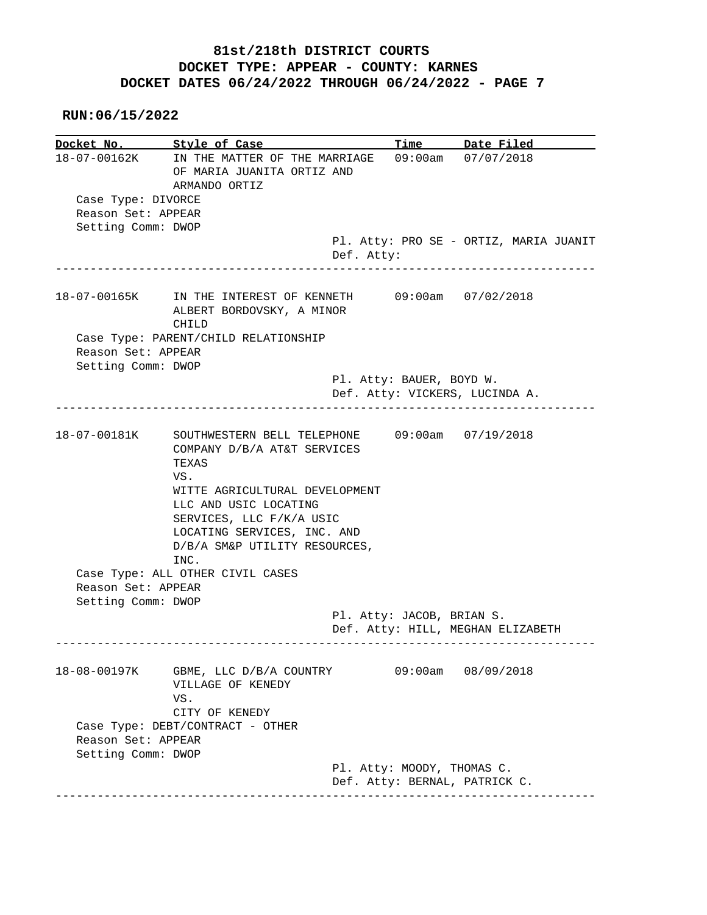| Docket No. Style of Case                 |                                                                                                                                                     |                                                             | Time Date Filed                        |
|------------------------------------------|-----------------------------------------------------------------------------------------------------------------------------------------------------|-------------------------------------------------------------|----------------------------------------|
|                                          | 18-07-00162K IN THE MATTER OF THE MARRIAGE<br>OF MARIA JUANITA ORTIZ AND<br>ARMANDO ORTIZ                                                           |                                                             | 09:00am 07/07/2018                     |
| Case Type: DIVORCE<br>Reason Set: APPEAR |                                                                                                                                                     |                                                             |                                        |
| Setting Comm: DWOP                       |                                                                                                                                                     |                                                             |                                        |
| ______________________                   |                                                                                                                                                     | Def. Atty:<br>- - - - - - - -                               | Pl. Atty: PRO SE - ORTIZ, MARIA JUANIT |
|                                          | 18-07-00165K IN THE INTEREST OF KENNETH<br>ALBERT BORDOVSKY, A MINOR<br>CHILD                                                                       |                                                             | $09:00$ am $07/02/2018$                |
| Reason Set: APPEAR                       | Case Type: PARENT/CHILD RELATIONSHIP                                                                                                                |                                                             |                                        |
| Setting Comm: DWOP                       |                                                                                                                                                     | Pl. Atty: BAUER, BOYD W.                                    |                                        |
|                                          |                                                                                                                                                     | Def. Atty: VICKERS, LUCINDA A.                              |                                        |
| 18-07-00181K                             | SOUTHWESTERN BELL TELEPHONE 09:00am 07/19/2018<br>COMPANY D/B/A AT&T SERVICES<br>TEXAS<br>VS.                                                       |                                                             |                                        |
|                                          | WITTE AGRICULTURAL DEVELOPMENT<br>LLC AND USIC LOCATING<br>SERVICES, LLC F/K/A USIC<br>LOCATING SERVICES, INC. AND<br>D/B/A SM&P UTILITY RESOURCES, |                                                             |                                        |
|                                          | INC.<br>Case Type: ALL OTHER CIVIL CASES                                                                                                            |                                                             |                                        |
| Reason Set: APPEAR                       |                                                                                                                                                     |                                                             |                                        |
| Setting Comm: DWOP                       |                                                                                                                                                     |                                                             |                                        |
|                                          |                                                                                                                                                     | Pl. Atty: JACOB, BRIAN S.                                   | Def. Atty: HILL, MEGHAN ELIZABETH      |
|                                          |                                                                                                                                                     |                                                             | 09:00am 08/09/2018                     |
|                                          | 18-08-00197K GBME, LLC D/B/A COUNTRY<br>VILLAGE OF KENEDY<br>VS.<br>CITY OF KENEDY                                                                  |                                                             |                                        |
| Reason Set: APPEAR                       | Case Type: DEBT/CONTRACT - OTHER                                                                                                                    |                                                             |                                        |
| Setting Comm: DWOP                       |                                                                                                                                                     | Pl. Atty: MOODY, THOMAS C.<br>Def. Atty: BERNAL, PATRICK C. |                                        |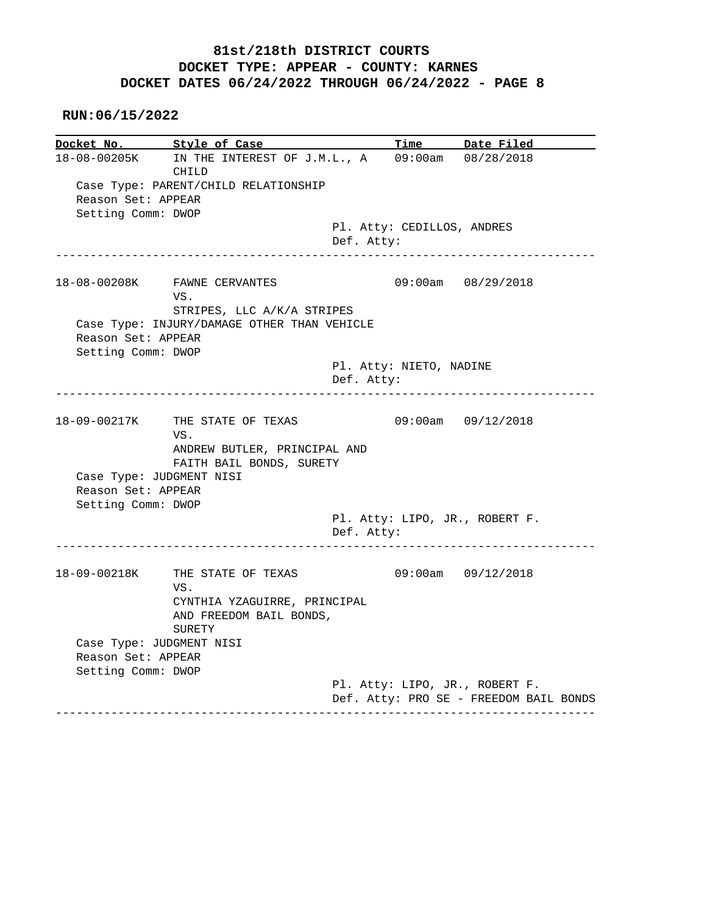| Docket No.         | Style of Case                               |            |                            | Time Date Filed                |
|--------------------|---------------------------------------------|------------|----------------------------|--------------------------------|
| 18-08-00205K       | IN THE INTEREST OF J.M.L., A<br>CHILD       |            |                            | 09:00am 08/28/2018             |
|                    | Case Type: PARENT/CHILD RELATIONSHIP        |            |                            |                                |
| Reason Set: APPEAR |                                             |            |                            |                                |
| Setting Comm: DWOP |                                             |            |                            |                                |
|                    |                                             |            | Pl. Atty: CEDILLOS, ANDRES |                                |
|                    |                                             | Def. Atty: |                            |                                |
|                    | 18-08-00208K FAWNE CERVANTES                |            |                            | 09:00am 08/29/2018             |
|                    | VS.                                         |            |                            |                                |
|                    | STRIPES, LLC A/K/A STRIPES                  |            |                            |                                |
|                    | Case Type: INJURY/DAMAGE OTHER THAN VEHICLE |            |                            |                                |
| Reason Set: APPEAR |                                             |            |                            |                                |
| Setting Comm: DWOP |                                             |            | Pl. Atty: NIETO, NADINE    |                                |
|                    |                                             | Def. Atty: |                            |                                |
|                    | ------------------------------              |            |                            |                                |
|                    |                                             |            |                            |                                |
|                    | 18-09-00217K THE STATE OF TEXAS             |            |                            | 09:00am 09/12/2018             |
|                    | VS.<br>ANDREW BUTLER, PRINCIPAL AND         |            |                            |                                |
|                    | FAITH BAIL BONDS, SURETY                    |            |                            |                                |
|                    | Case Type: JUDGMENT NISI                    |            |                            |                                |
|                    |                                             |            |                            |                                |
|                    |                                             |            |                            |                                |
| Reason Set: APPEAR |                                             |            |                            |                                |
| Setting Comm: DWOP |                                             |            |                            |                                |
|                    |                                             |            |                            | Pl. Atty: LIPO, JR., ROBERT F. |
|                    | __________________________________          | Def. Atty: |                            |                                |
|                    | 18-09-00218K THE STATE OF TEXAS             |            |                            | 09:00am 09/12/2018             |
|                    | VS.                                         |            |                            |                                |
|                    | CYNTHIA YZAGUIRRE, PRINCIPAL                |            |                            |                                |
|                    | AND FREEDOM BAIL BONDS,                     |            |                            |                                |
|                    | SURETY                                      |            |                            |                                |
|                    | Case Type: JUDGMENT NISI                    |            |                            |                                |
| Reason Set: APPEAR |                                             |            |                            |                                |
| Setting Comm: DWOP |                                             |            |                            | Pl. Atty: LIPO, JR., ROBERT F. |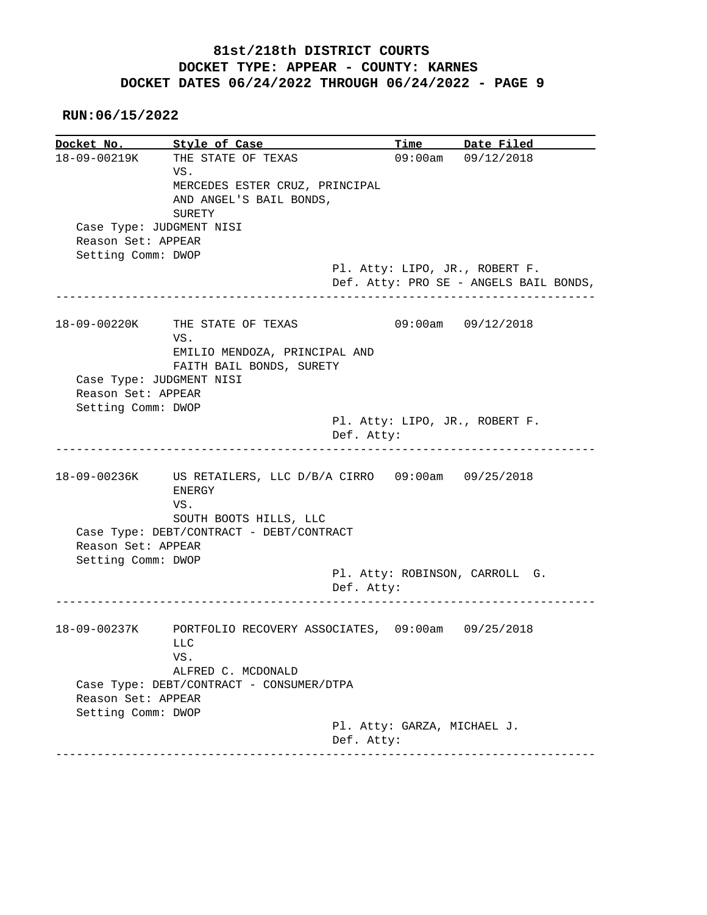**RUN:06/15/2022**

**Docket No.** Style of Case Time Date Filed 18-09-00219K THE STATE OF TEXAS 09:00am 09/12/2018 VS. MERCEDES ESTER CRUZ, PRINCIPAL AND ANGEL'S BAIL BONDS, SURETY Case Type: JUDGMENT NISI Reason Set: APPEAR Setting Comm: DWOP Pl. Atty: LIPO, JR., ROBERT F. Def. Atty: PRO SE - ANGELS BAIL BONDS, ------------------------------------------------------------------------------ 18-09-00220K THE STATE OF TEXAS 09:00am 09/12/2018 VS. EMILIO MENDOZA, PRINCIPAL AND FAITH BAIL BONDS, SURETY Case Type: JUDGMENT NISI Reason Set: APPEAR Setting Comm: DWOP Pl. Atty: LIPO, JR., ROBERT F. Def. Atty: ------------------------------------------------------------------------------ 18-09-00236K US RETAILERS, LLC D/B/A CIRRO 09:00am 09/25/2018 ENERGY VS. SOUTH BOOTS HILLS, LLC Case Type: DEBT/CONTRACT - DEBT/CONTRACT Reason Set: APPEAR Setting Comm: DWOP Pl. Atty: ROBINSON, CARROLL G. Def. Atty: ------------------------------------------------------------------------------ 18-09-00237K PORTFOLIO RECOVERY ASSOCIATES, 09:00am 09/25/2018 LLC VS. ALFRED C. MCDONALD Case Type: DEBT/CONTRACT - CONSUMER/DTPA Reason Set: APPEAR Setting Comm: DWOP Pl. Atty: GARZA, MICHAEL J. Def. Atty: ------------------------------------------------------------------------------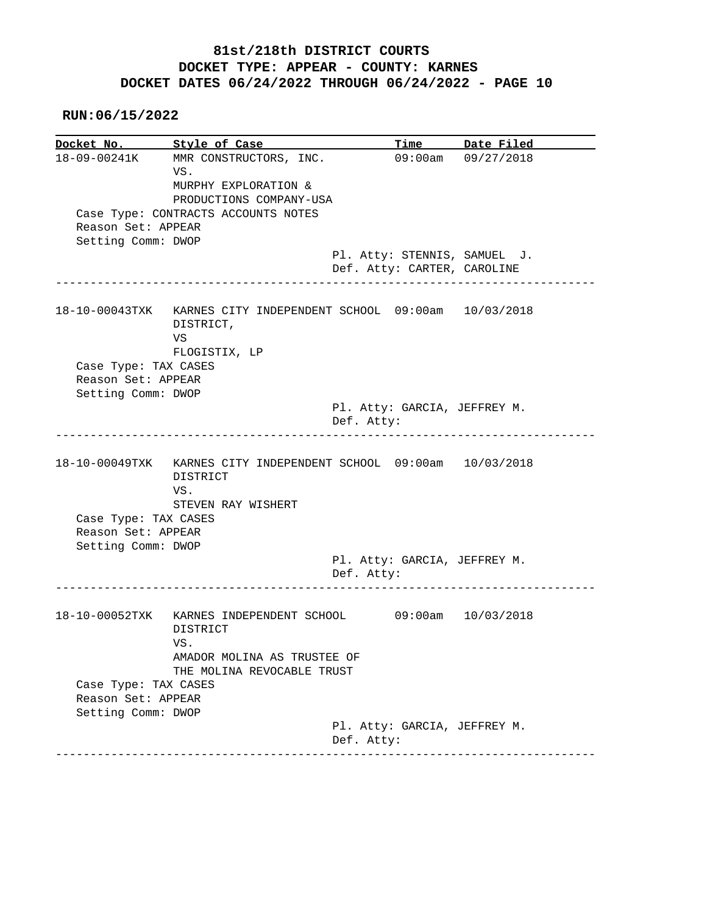|                                            | Docket No. Style of Case                                                                                  |                                                                | Time Date Filed    |
|--------------------------------------------|-----------------------------------------------------------------------------------------------------------|----------------------------------------------------------------|--------------------|
|                                            | 18-09-00241K MMR CONSTRUCTORS, INC.<br>VS.<br>MURPHY EXPLORATION &<br>PRODUCTIONS COMPANY-USA             |                                                                | 09:00am 09/27/2018 |
| Reason Set: APPEAR<br>Setting Comm: DWOP   | Case Type: CONTRACTS ACCOUNTS NOTES                                                                       |                                                                |                    |
|                                            |                                                                                                           | Pl. Atty: STENNIS, SAMUEL J.                                   |                    |
|                                            |                                                                                                           | Def. Atty: CARTER, CAROLINE<br>_______________________________ |                    |
|                                            | 18-10-00043TXK KARNES CITY INDEPENDENT SCHOOL 09:00am 10/03/2018<br>DISTRICT,<br>VS<br>FLOGISTIX, LP      |                                                                |                    |
| Case Type: TAX CASES                       |                                                                                                           |                                                                |                    |
| Reason Set: APPEAR                         |                                                                                                           |                                                                |                    |
| Setting Comm: DWOP                         |                                                                                                           |                                                                |                    |
|                                            |                                                                                                           | Pl. Atty: GARCIA, JEFFREY M.<br>Def. Atty:                     |                    |
| Case Type: TAX CASES                       | 18-10-00049TXK KARNES CITY INDEPENDENT SCHOOL 09:00am 10/03/2018<br>DISTRICT<br>VS.<br>STEVEN RAY WISHERT |                                                                |                    |
| Reason Set: APPEAR<br>Setting Comm: DWOP   |                                                                                                           |                                                                |                    |
|                                            |                                                                                                           | Pl. Atty: GARCIA, JEFFREY M.<br>Def. Atty:                     |                    |
|                                            | 18-10-00052TXK KARNES INDEPENDENT SCHOOL 09:00am 10/03/2018                                               |                                                                |                    |
|                                            | DISTRICT<br>VS.                                                                                           |                                                                |                    |
| Case Type: TAX CASES<br>Reason Set: APPEAR | AMADOR MOLINA AS TRUSTEE OF<br>THE MOLINA REVOCABLE TRUST                                                 |                                                                |                    |
| Setting Comm: DWOP                         |                                                                                                           |                                                                |                    |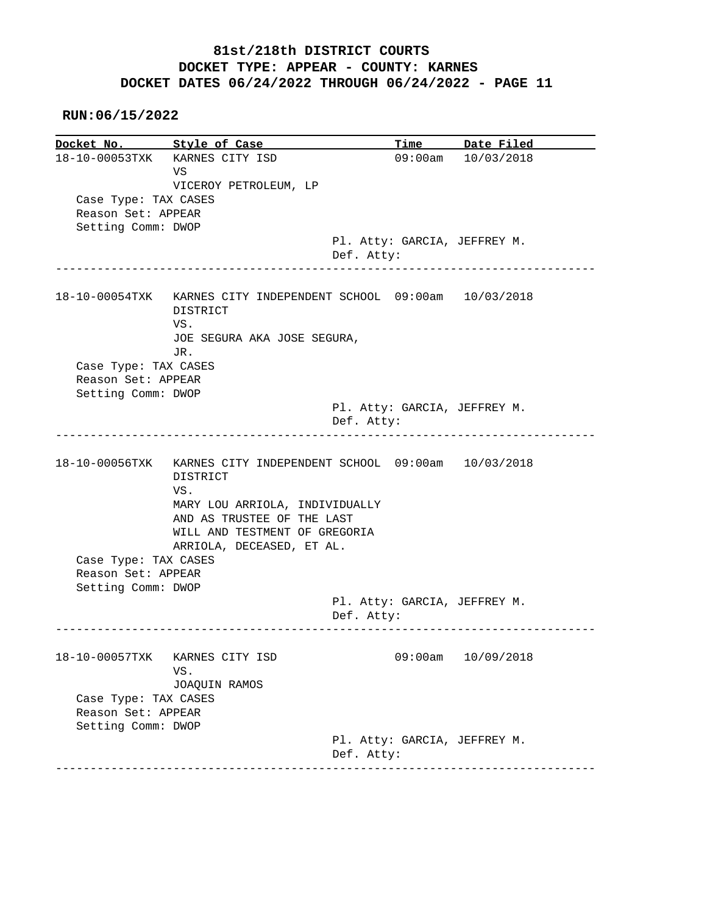#### **RUN:06/15/2022**

**Docket No.** Style of Case Time Date Filed 18-10-00053TXK KARNES CITY ISD 09:00am 10/03/2018 VS VICEROY PETROLEUM, LP Case Type: TAX CASES Reason Set: APPEAR Setting Comm: DWOP Pl. Atty: GARCIA, JEFFREY M. Def. Atty: ------------------------------------------------------------------------------ 18-10-00054TXK KARNES CITY INDEPENDENT SCHOOL 09:00am 10/03/2018 DISTRICT VS. JOE SEGURA AKA JOSE SEGURA, JR. Case Type: TAX CASES Reason Set: APPEAR Setting Comm: DWOP Pl. Atty: GARCIA, JEFFREY M. Def. Atty: ------------------------------------------------------------------------------ 18-10-00056TXK KARNES CITY INDEPENDENT SCHOOL 09:00am 10/03/2018 DISTRICT VS. MARY LOU ARRIOLA, INDIVIDUALLY AND AS TRUSTEE OF THE LAST WILL AND TESTMENT OF GREGORIA ARRIOLA, DECEASED, ET AL. Case Type: TAX CASES Reason Set: APPEAR Setting Comm: DWOP Pl. Atty: GARCIA, JEFFREY M. Def. Atty: ------------------------------------------------------------------------------ 18-10-00057TXK KARNES CITY ISD 09:00am 10/09/2018 VS. JOAQUIN RAMOS Case Type: TAX CASES Reason Set: APPEAR Setting Comm: DWOP Pl. Atty: GARCIA, JEFFREY M. Def. Atty: ------------------------------------------------------------------------------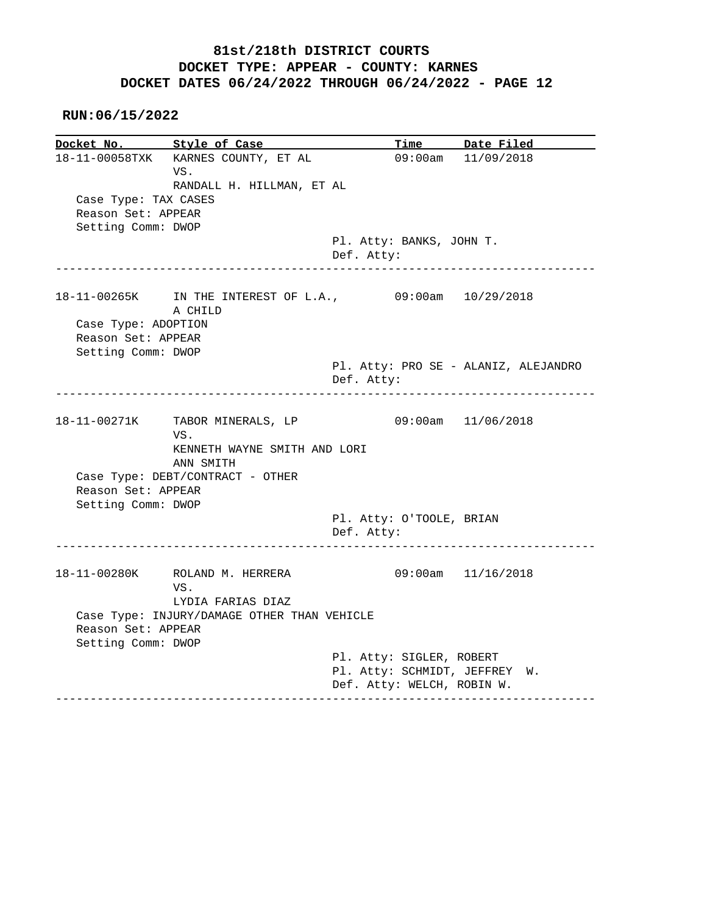**RUN:06/15/2022**

**Docket No. Style of Case Time Date Filed**  18-11-00058TXK KARNES COUNTY, ET AL 09:00am 11/09/2018 VS. RANDALL H. HILLMAN, ET AL Case Type: TAX CASES Reason Set: APPEAR Setting Comm: DWOP Pl. Atty: BANKS, JOHN T. Def. Atty: ------------------------------------------------------------------------------ 18-11-00265K IN THE INTEREST OF L.A., 09:00am 10/29/2018 A CHILD Case Type: ADOPTION Reason Set: APPEAR Setting Comm: DWOP Pl. Atty: PRO SE - ALANIZ, ALEJANDRO Def. Atty: ------------------------------------------------------------------------------ 18-11-00271K TABOR MINERALS, LP 09:00am 11/06/2018 VS. KENNETH WAYNE SMITH AND LORI ANN SMITH Case Type: DEBT/CONTRACT - OTHER Reason Set: APPEAR Setting Comm: DWOP Pl. Atty: O'TOOLE, BRIAN Def. Atty: ------------------------------------------------------------------------------ 18-11-00280K ROLAND M. HERRERA 09:00am 11/16/2018 VS. LYDIA FARIAS DIAZ Case Type: INJURY/DAMAGE OTHER THAN VEHICLE Reason Set: APPEAR Setting Comm: DWOP Pl. Atty: SIGLER, ROBERT Pl. Atty: SCHMIDT, JEFFREY W. Def. Atty: WELCH, ROBIN W. ------------------------------------------------------------------------------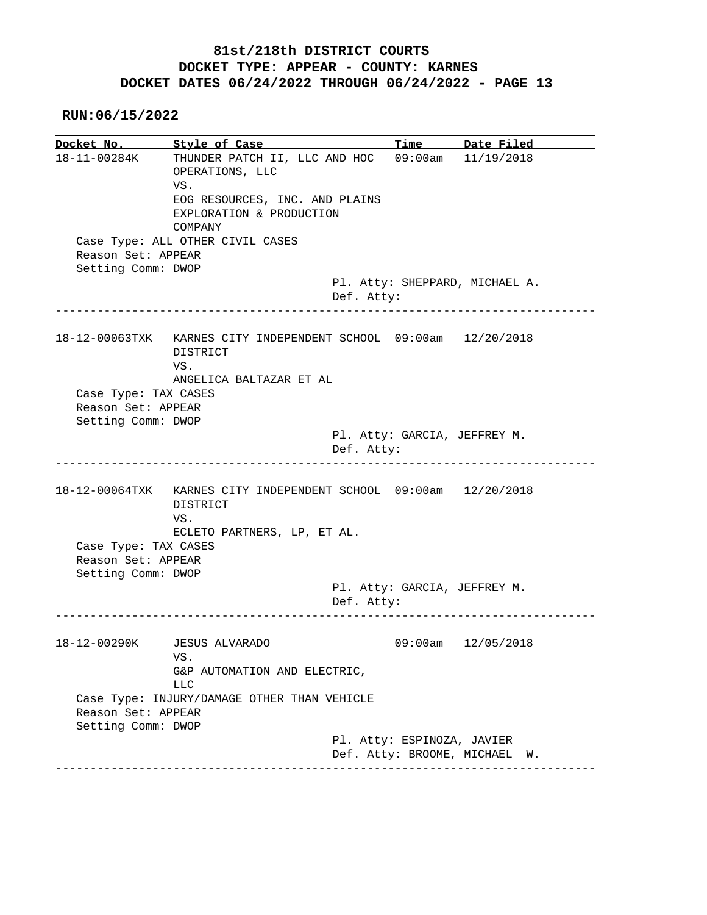**RUN:06/15/2022**

**Docket No. Style of Case Time Date Filed**  18-11-00284K THUNDER PATCH II, LLC AND HOC 09:00am 11/19/2018 OPERATIONS, LLC VS. EOG RESOURCES, INC. AND PLAINS EXPLORATION & PRODUCTION COMPANY Case Type: ALL OTHER CIVIL CASES Reason Set: APPEAR Setting Comm: DWOP Pl. Atty: SHEPPARD, MICHAEL A. Def. Atty: ------------------------------------------------------------------------------ 18-12-00063TXK KARNES CITY INDEPENDENT SCHOOL 09:00am 12/20/2018 DISTRICT VS. ANGELICA BALTAZAR ET AL Case Type: TAX CASES Reason Set: APPEAR Setting Comm: DWOP Pl. Atty: GARCIA, JEFFREY M. Def. Atty: ------------------------------------------------------------------------------ 18-12-00064TXK KARNES CITY INDEPENDENT SCHOOL 09:00am 12/20/2018 DISTRICT VS. ECLETO PARTNERS, LP, ET AL. Case Type: TAX CASES Reason Set: APPEAR Setting Comm: DWOP Pl. Atty: GARCIA, JEFFREY M. Def. Atty: ------------------------------------------------------------------------------ 18-12-00290K JESUS ALVARADO 09:00am 12/05/2018 VS. G&P AUTOMATION AND ELECTRIC, LLC Case Type: INJURY/DAMAGE OTHER THAN VEHICLE Reason Set: APPEAR Setting Comm: DWOP Pl. Atty: ESPINOZA, JAVIER Def. Atty: BROOME, MICHAEL W. ------------------------------------------------------------------------------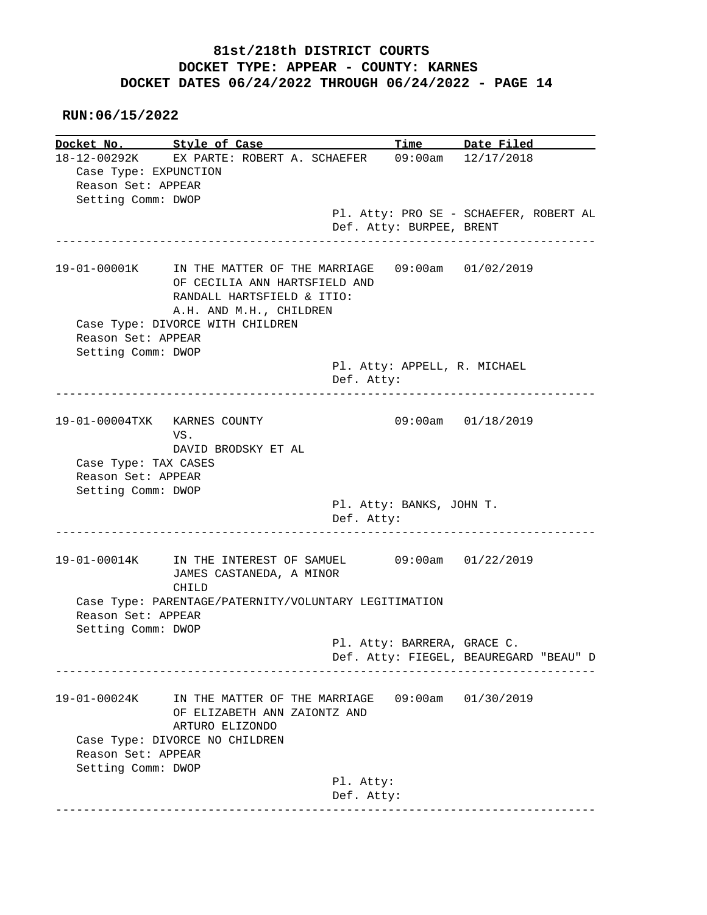|                              | Docket No. Style of Case                                       |            |                              | Time Date Filed                        |
|------------------------------|----------------------------------------------------------------|------------|------------------------------|----------------------------------------|
|                              | 18-12-00292K EX PARTE: ROBERT A. SCHAEFER 09:00am 12/17/2018   |            |                              |                                        |
| Case Type: EXPUNCTION        |                                                                |            |                              |                                        |
| Reason Set: APPEAR           |                                                                |            |                              |                                        |
| Setting Comm: DWOP           |                                                                |            |                              |                                        |
|                              |                                                                |            |                              | Pl. Atty: PRO SE - SCHAEFER, ROBERT AL |
|                              |                                                                |            | Def. Atty: BURPEE, BRENT     |                                        |
|                              | 19-01-00001K IN THE MATTER OF THE MARRIAGE 09:00am 01/02/2019  |            |                              |                                        |
|                              | OF CECILIA ANN HARTSFIELD AND<br>RANDALL HARTSFIELD & ITIO:    |            |                              |                                        |
|                              | A.H. AND M.H., CHILDREN                                        |            |                              |                                        |
| Reason Set: APPEAR           | Case Type: DIVORCE WITH CHILDREN                               |            |                              |                                        |
| Setting Comm: DWOP           |                                                                |            |                              |                                        |
|                              |                                                                | Def. Atty: | Pl. Atty: APPELL, R. MICHAEL |                                        |
|                              |                                                                |            |                              |                                        |
| 19-01-00004TXK KARNES COUNTY | VS.                                                            |            |                              | $09:00$ am $01/18/2019$                |
|                              | DAVID BRODSKY ET AL                                            |            |                              |                                        |
| Case Type: TAX CASES         |                                                                |            |                              |                                        |
| Reason Set: APPEAR           |                                                                |            |                              |                                        |
| Setting Comm: DWOP           |                                                                |            |                              |                                        |
|                              |                                                                | Def. Atty: | Pl. Atty: BANKS, JOHN T.     |                                        |
|                              |                                                                |            |                              |                                        |
|                              | 19-01-00014K IN THE INTEREST OF SAMUEL 09:00am 01/22/2019      |            |                              |                                        |
|                              | JAMES CASTANEDA, A MINOR                                       |            |                              |                                        |
|                              | CHILD<br>Case Type: PARENTAGE/PATERNITY/VOLUNTARY LEGITIMATION |            |                              |                                        |
| Reason Set: APPEAR           |                                                                |            |                              |                                        |
| Setting Comm: DWOP           |                                                                |            |                              |                                        |
|                              |                                                                |            | Pl. Atty: BARRERA, GRACE C.  |                                        |
|                              |                                                                |            |                              | Def. Atty: FIEGEL, BEAUREGARD "BEAU" D |
|                              |                                                                |            |                              |                                        |
| 19-01-00024K                 | IN THE MATTER OF THE MARRIAGE                                  |            |                              | $09:00am$ $01/30/2019$                 |
|                              | OF ELIZABETH ANN ZAIONTZ AND<br>ARTURO ELIZONDO                |            |                              |                                        |
|                              |                                                                |            |                              |                                        |
|                              |                                                                |            |                              |                                        |
| Reason Set: APPEAR           | Case Type: DIVORCE NO CHILDREN                                 |            |                              |                                        |
| Setting Comm: DWOP           |                                                                |            |                              |                                        |
|                              |                                                                | Pl. Atty:  |                              |                                        |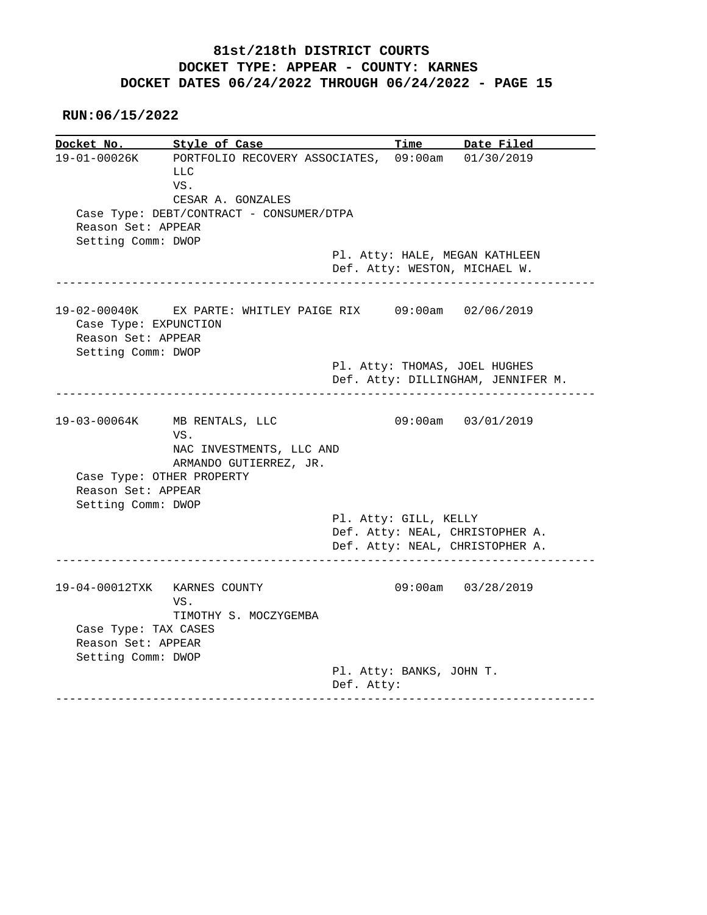**RUN:06/15/2022**

**Docket No. Style of Case Time Date Filed**  19-01-00026K PORTFOLIO RECOVERY ASSOCIATES, 09:00am 01/30/2019 LLC VS. CESAR A. GONZALES Case Type: DEBT/CONTRACT - CONSUMER/DTPA Reason Set: APPEAR Setting Comm: DWOP Pl. Atty: HALE, MEGAN KATHLEEN Def. Atty: WESTON, MICHAEL W. ------------------------------------------------------------------------------ 19-02-00040K EX PARTE: WHITLEY PAIGE RIX 09:00am 02/06/2019 Case Type: EXPUNCTION Reason Set: APPEAR Setting Comm: DWOP Pl. Atty: THOMAS, JOEL HUGHES Def. Atty: DILLINGHAM, JENNIFER M. ------------------------------------------------------------------------------ 19-03-00064K MB RENTALS, LLC 09:00am 03/01/2019 VS. NAC INVESTMENTS, LLC AND ARMANDO GUTIERREZ, JR. Case Type: OTHER PROPERTY Reason Set: APPEAR Setting Comm: DWOP Pl. Atty: GILL, KELLY Def. Atty: NEAL, CHRISTOPHER A. Def. Atty: NEAL, CHRISTOPHER A. ------------------------------------------------------------------------------ 19-04-00012TXK KARNES COUNTY 09:00am 03/28/2019 VS. TIMOTHY S. MOCZYGEMBA Case Type: TAX CASES Reason Set: APPEAR Setting Comm: DWOP Pl. Atty: BANKS, JOHN T. Def. Atty: ------------------------------------------------------------------------------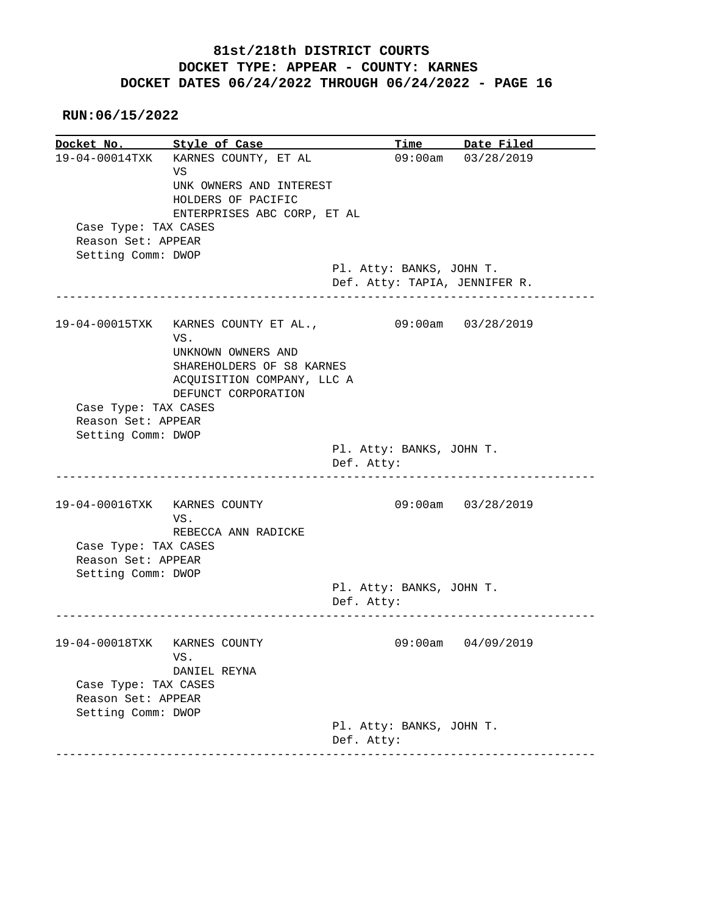**RUN:06/15/2022**

**Docket No. Style of Case Time Date Filed**<br>19-04-00014TXK KARNES COUNTY, ET AL 09:00am 03/28/2019 19-04-00014TXK KARNES COUNTY, ET AL VS UNK OWNERS AND INTEREST HOLDERS OF PACIFIC ENTERPRISES ABC CORP, ET AL Case Type: TAX CASES Reason Set: APPEAR Setting Comm: DWOP Pl. Atty: BANKS, JOHN T. Def. Atty: TAPIA, JENNIFER R. ------------------------------------------------------------------------------ 19-04-00015TXK KARNES COUNTY ET AL., 09:00am 03/28/2019 VS. UNKNOWN OWNERS AND SHAREHOLDERS OF S8 KARNES ACQUISITION COMPANY, LLC A DEFUNCT CORPORATION Case Type: TAX CASES Reason Set: APPEAR Setting Comm: DWOP Pl. Atty: BANKS, JOHN T. Def. Atty: ------------------------------------------------------------------------------ 19-04-00016TXK KARNES COUNTY 09:00am 03/28/2019 VS. REBECCA ANN RADICKE Case Type: TAX CASES Reason Set: APPEAR Setting Comm: DWOP Pl. Atty: BANKS, JOHN T. Def. Atty: ------------------------------------------------------------------------------ 19-04-00018TXK KARNES COUNTY 09:00am 04/09/2019 VS. DANIEL REYNA Case Type: TAX CASES Reason Set: APPEAR Setting Comm: DWOP Pl. Atty: BANKS, JOHN T. Def. Atty: ------------------------------------------------------------------------------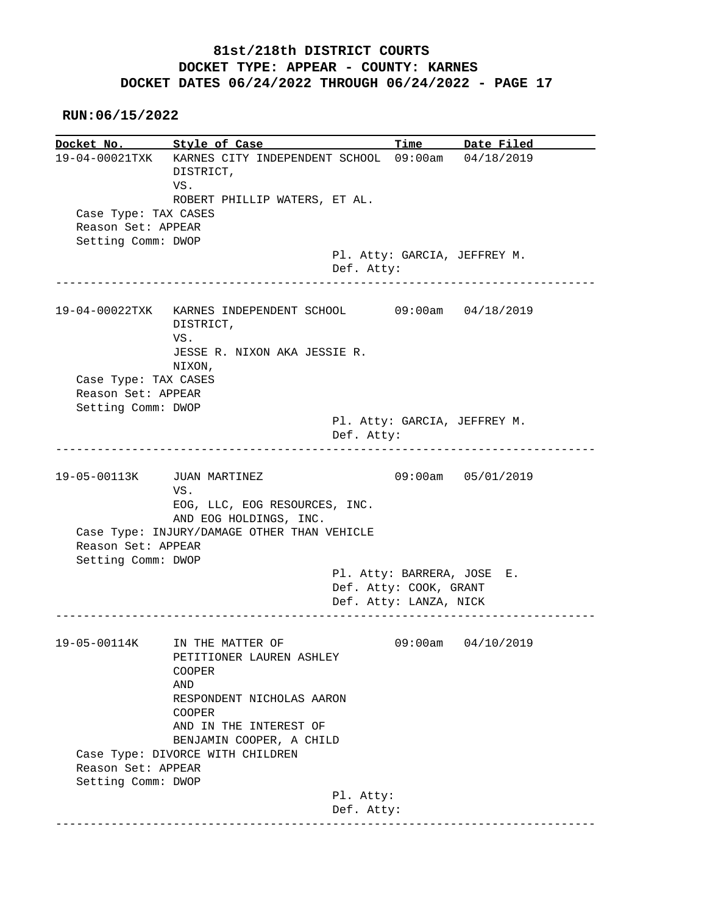**RUN:06/15/2022**

**Docket No. Style of Case Time Date Filed**  19-04-00021TXK KARNES CITY INDEPENDENT SCHOOL 09:00am 04/18/2019 DISTRICT, VS. ROBERT PHILLIP WATERS, ET AL. Case Type: TAX CASES Reason Set: APPEAR Setting Comm: DWOP Pl. Atty: GARCIA, JEFFREY M. Def. Atty: ------------------------------------------------------------------------------ 19-04-00022TXK KARNES INDEPENDENT SCHOOL 09:00am 04/18/2019 DISTRICT, VS. JESSE R. NIXON AKA JESSIE R. NIXON, Case Type: TAX CASES Reason Set: APPEAR Setting Comm: DWOP Pl. Atty: GARCIA, JEFFREY M. Def. Atty: ------------------------------------------------------------------------------ 19-05-00113K JUAN MARTINEZ 09:00am 05/01/2019 VS. EOG, LLC, EOG RESOURCES, INC. AND EOG HOLDINGS, INC. Case Type: INJURY/DAMAGE OTHER THAN VEHICLE Reason Set: APPEAR Setting Comm: DWOP Pl. Atty: BARRERA, JOSE E. Def. Atty: COOK, GRANT Def. Atty: LANZA, NICK ------------------------------------------------------------------------------ 19-05-00114K IN THE MATTER OF 09:00am 04/10/2019 PETITIONER LAUREN ASHLEY COOPER AND RESPONDENT NICHOLAS AARON COOPER AND IN THE INTEREST OF BENJAMIN COOPER, A CHILD Case Type: DIVORCE WITH CHILDREN Reason Set: APPEAR Setting Comm: DWOP Pl. Atty: Def. Atty: ------------------------------------------------------------------------------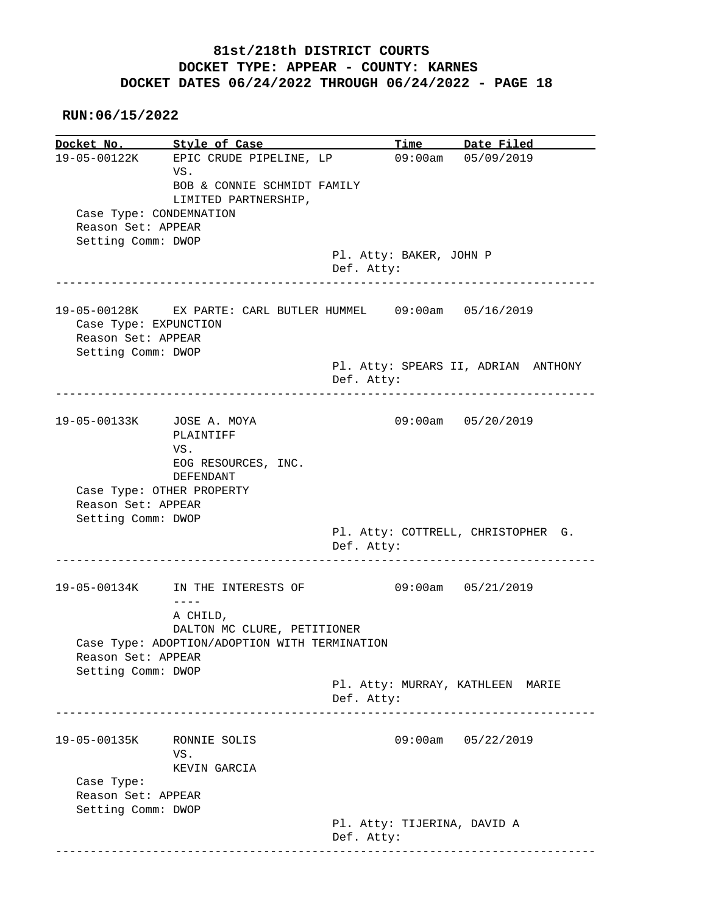**RUN:06/15/2022**

**Docket No.** Style of Case Docket No. Style of Case Time Date Filed<br>19-05-00122K EPIC CRUDE PIPELINE, LP 09:00am 05/09/2019 VS. BOB & CONNIE SCHMIDT FAMILY LIMITED PARTNERSHIP, Case Type: CONDEMNATION Reason Set: APPEAR Setting Comm: DWOP Pl. Atty: BAKER, JOHN P Def. Atty: ------------------------------------------------------------------------------ 19-05-00128K EX PARTE: CARL BUTLER HUMMEL 09:00am 05/16/2019 Case Type: EXPUNCTION Reason Set: APPEAR Setting Comm: DWOP Pl. Atty: SPEARS II, ADRIAN ANTHONY Def. Atty: ------------------------------------------------------------------------------ 19-05-00133K JOSE A. MOYA 09:00am 05/20/2019 PLAINTIFF VS. EOG RESOURCES, INC. DEFENDANT Case Type: OTHER PROPERTY Reason Set: APPEAR Setting Comm: DWOP Pl. Atty: COTTRELL, CHRISTOPHER G. Def. Atty: ------------------------------------------------------------------------------ 19-05-00134K IN THE INTERESTS OF 09:00am 05/21/2019 ---- A CHILD, DALTON MC CLURE, PETITIONER Case Type: ADOPTION/ADOPTION WITH TERMINATION Reason Set: APPEAR Setting Comm: DWOP Pl. Atty: MURRAY, KATHLEEN MARIE Def. Atty: ------------------------------------------------------------------------------ 19-05-00135K RONNIE SOLIS 09:00am 05/22/2019 VS. KEVIN GARCIA Case Type: Reason Set: APPEAR Setting Comm: DWOP Pl. Atty: TIJERINA, DAVID A Def. Atty: ------------------------------------------------------------------------------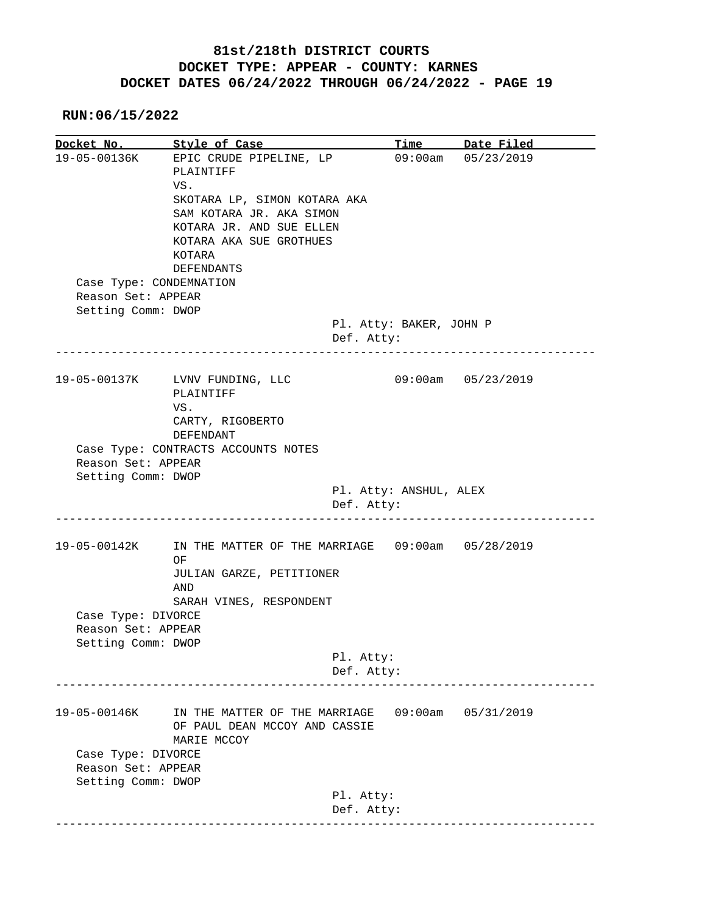**RUN:06/15/2022**

**Docket No. Style of Case Time Date Filed**  19-05-00136K EPIC CRUDE PIPELINE, LP 09:00am 05/23/2019 PLAINTIFF VS. SKOTARA LP, SIMON KOTARA AKA SAM KOTARA JR. AKA SIMON KOTARA JR. AND SUE ELLEN KOTARA AKA SUE GROTHUES KOTARA DEFENDANTS Case Type: CONDEMNATION Reason Set: APPEAR Setting Comm: DWOP Pl. Atty: BAKER, JOHN P Def. Atty: ------------------------------------------------------------------------------ 19-05-00137K LVNV FUNDING, LLC 09:00am 05/23/2019 PLAINTIFF VS. CARTY, RIGOBERTO DEFENDANT Case Type: CONTRACTS ACCOUNTS NOTES Reason Set: APPEAR Setting Comm: DWOP Pl. Atty: ANSHUL, ALEX Def. Atty: ------------------------------------------------------------------------------ 19-05-00142K IN THE MATTER OF THE MARRIAGE 09:00am 05/28/2019 **OF OF**  JULIAN GARZE, PETITIONER AND SARAH VINES, RESPONDENT Case Type: DIVORCE Reason Set: APPEAR Setting Comm: DWOP Pl. Atty: Def. Atty: ------------------------------------------------------------------------------ 19-05-00146K IN THE MATTER OF THE MARRIAGE 09:00am 05/31/2019 OF PAUL DEAN MCCOY AND CASSIE MARIE MCCOY Case Type: DIVORCE Reason Set: APPEAR Setting Comm: DWOP Pl. Atty: Def. Atty: ------------------------------------------------------------------------------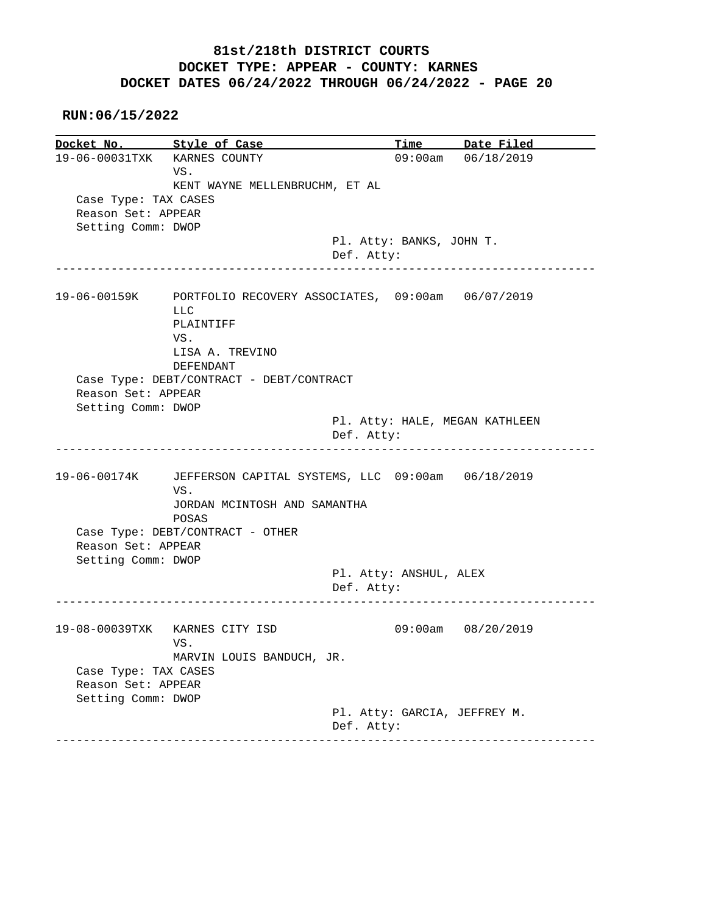**RUN:06/15/2022**

**Docket No. Style of Case Time Date Filed**  19-06-00031TXK KARNES COUNTY 09:00am 06/18/2019 VS. KENT WAYNE MELLENBRUCHM, ET AL Case Type: TAX CASES Reason Set: APPEAR Setting Comm: DWOP Pl. Atty: BANKS, JOHN T. Def. Atty: ------------------------------------------------------------------------------ 19-06-00159K PORTFOLIO RECOVERY ASSOCIATES, 09:00am 06/07/2019 LLC PLAINTIFF VS. LISA A. TREVINO DEFENDANT Case Type: DEBT/CONTRACT - DEBT/CONTRACT Reason Set: APPEAR Setting Comm: DWOP Pl. Atty: HALE, MEGAN KATHLEEN Def. Atty: ------------------------------------------------------------------------------ 19-06-00174K JEFFERSON CAPITAL SYSTEMS, LLC 09:00am 06/18/2019 VS. JORDAN MCINTOSH AND SAMANTHA POSAS Case Type: DEBT/CONTRACT - OTHER Reason Set: APPEAR Setting Comm: DWOP Pl. Atty: ANSHUL, ALEX Def. Atty: ------------------------------------------------------------------------------ 19-08-00039TXK KARNES CITY ISD 09:00am 08/20/2019 VS. MARVIN LOUIS BANDUCH, JR. Case Type: TAX CASES Reason Set: APPEAR Setting Comm: DWOP Pl. Atty: GARCIA, JEFFREY M. Def. Atty: ------------------------------------------------------------------------------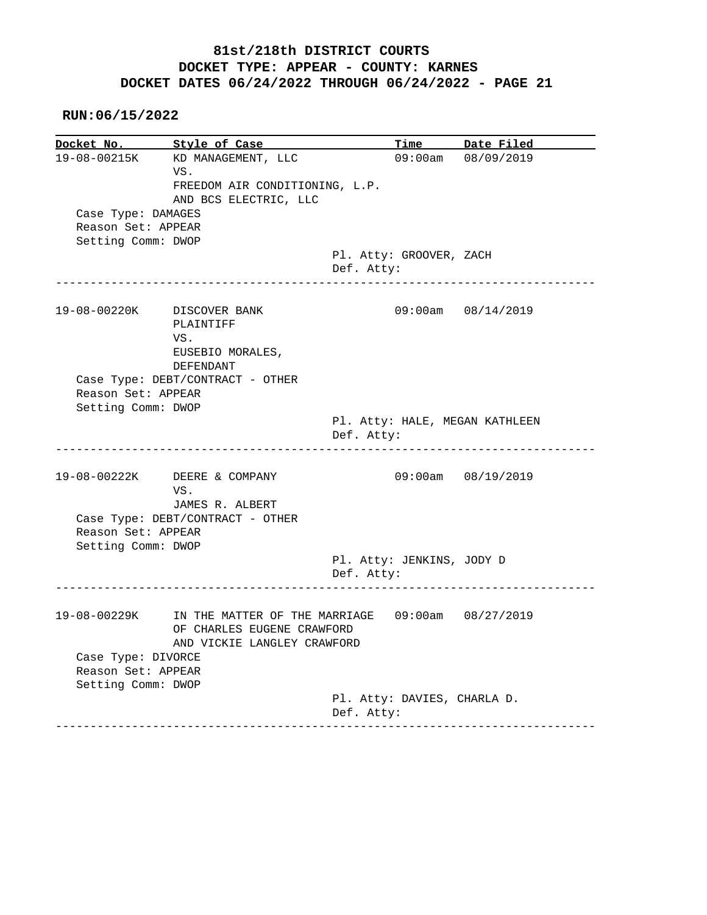|                    | Docket No. Style of Case                                      |                                         | Time Date Filed        |
|--------------------|---------------------------------------------------------------|-----------------------------------------|------------------------|
|                    | 19-08-00215K KD MANAGEMENT, LLC                               |                                         | 09:00am 08/09/2019     |
|                    | VS.                                                           |                                         |                        |
|                    | FREEDOM AIR CONDITIONING, L.P.                                |                                         |                        |
|                    | AND BCS ELECTRIC, LLC                                         |                                         |                        |
| Case Type: DAMAGES |                                                               |                                         |                        |
| Reason Set: APPEAR |                                                               |                                         |                        |
| Setting Comm: DWOP |                                                               |                                         |                        |
|                    |                                                               | Pl. Atty: GROOVER, ZACH                 |                        |
|                    |                                                               | Def. Atty:                              |                        |
|                    |                                                               |                                         |                        |
|                    | 19-08-00220K DISCOVER BANK                                    |                                         | $09:00am$ $08/14/2019$ |
|                    | PLAINTIFF                                                     |                                         |                        |
|                    | VS.                                                           |                                         |                        |
|                    | EUSEBIO MORALES,                                              |                                         |                        |
|                    | DEFENDANT                                                     |                                         |                        |
|                    | Case Type: DEBT/CONTRACT - OTHER                              |                                         |                        |
| Reason Set: APPEAR |                                                               |                                         |                        |
| Setting Comm: DWOP |                                                               |                                         |                        |
|                    |                                                               | Pl. Atty: HALE, MEGAN KATHLEEN          |                        |
|                    |                                                               | Def. Atty:                              |                        |
|                    | -------------------------                                     |                                         |                        |
|                    | 19-08-00222K DEERE & COMPANY                                  |                                         | 09:00am 08/19/2019     |
|                    | VS.                                                           |                                         |                        |
|                    | JAMES R. ALBERT                                               |                                         |                        |
|                    |                                                               |                                         |                        |
|                    |                                                               |                                         |                        |
|                    | Case Type: DEBT/CONTRACT - OTHER                              |                                         |                        |
| Reason Set: APPEAR |                                                               |                                         |                        |
| Setting Comm: DWOP |                                                               |                                         |                        |
|                    |                                                               | Pl. Atty: JENKINS, JODY D<br>Def. Atty: |                        |
|                    | --------------------                                          |                                         |                        |
|                    | 19-08-00229K IN THE MATTER OF THE MARRIAGE 09:00am 08/27/2019 |                                         |                        |
|                    | OF CHARLES EUGENE CRAWFORD                                    |                                         |                        |
|                    | AND VICKIE LANGLEY CRAWFORD                                   |                                         |                        |
|                    |                                                               |                                         |                        |
| Case Type: DIVORCE |                                                               |                                         |                        |
| Reason Set: APPEAR |                                                               |                                         |                        |
| Setting Comm: DWOP |                                                               | Pl. Atty: DAVIES, CHARLA D.             |                        |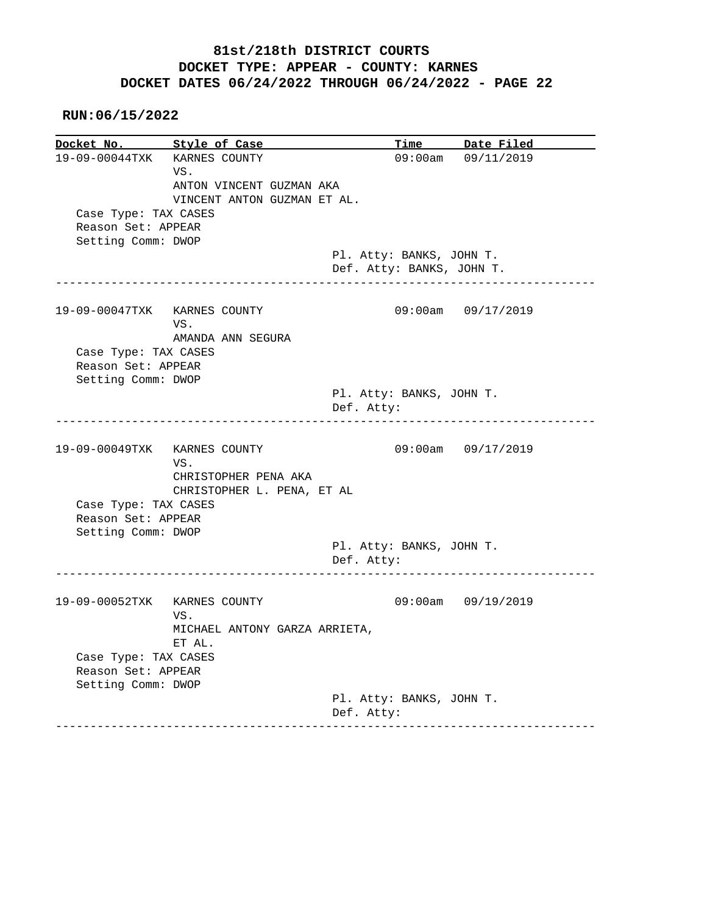**RUN:06/15/2022**

**Docket No.** Style of Case **Time** Date Filed 19-09-00044TXK KARNES COUNTY 09:00am 09/11/2019 VS. ANTON VINCENT GUZMAN AKA VINCENT ANTON GUZMAN ET AL. Case Type: TAX CASES Reason Set: APPEAR Setting Comm: DWOP Pl. Atty: BANKS, JOHN T. Def. Atty: BANKS, JOHN T. ------------------------------------------------------------------------------ 19-09-00047TXK KARNES COUNTY 09:00am 09/17/2019 VS. AMANDA ANN SEGURA Case Type: TAX CASES Reason Set: APPEAR Setting Comm: DWOP Pl. Atty: BANKS, JOHN T. Def. Atty: ------------------------------------------------------------------------------ 19-09-00049TXK KARNES COUNTY 09:00am 09/17/2019 VS. CHRISTOPHER PENA AKA CHRISTOPHER L. PENA, ET AL Case Type: TAX CASES Reason Set: APPEAR Setting Comm: DWOP Pl. Atty: BANKS, JOHN T. Def. Atty: ------------------------------------------------------------------------------ 19-09-00052TXK KARNES COUNTY 09:00am 09/19/2019 VS. MICHAEL ANTONY GARZA ARRIETA, ET AL. Case Type: TAX CASES Reason Set: APPEAR Setting Comm: DWOP Pl. Atty: BANKS, JOHN T. Def. Atty: ------------------------------------------------------------------------------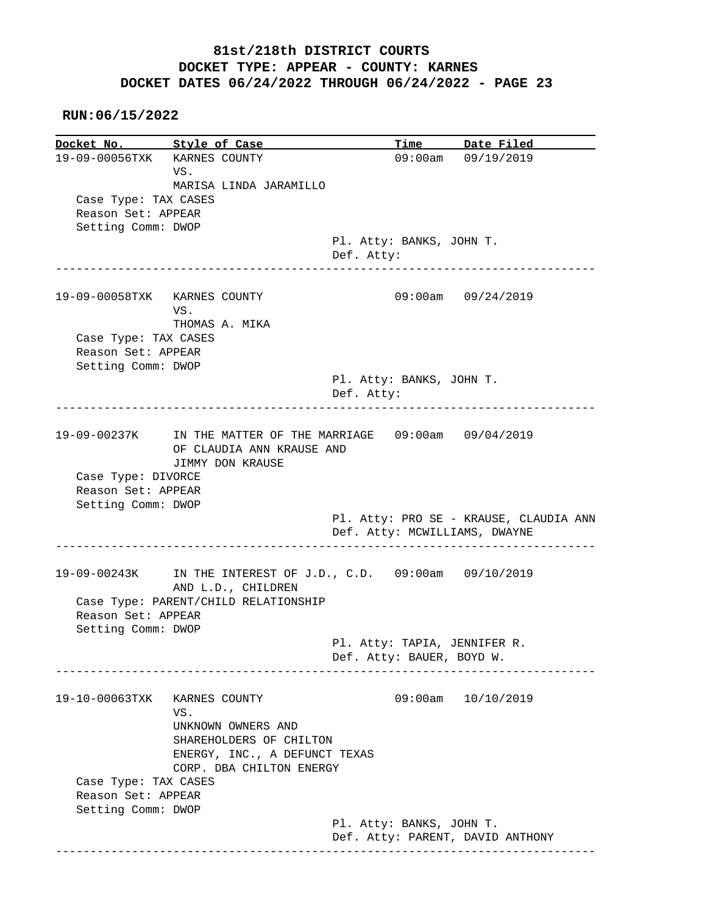#### **RUN:06/15/2022**

**Docket No. Style of Case Time Date Filed**  19-09-00056TXK KARNES COUNTY 09:00am 09/19/2019 VS. MARISA LINDA JARAMILLO Case Type: TAX CASES Reason Set: APPEAR Setting Comm: DWOP Pl. Atty: BANKS, JOHN T. Def. Atty: ------------------------------------------------------------------------------ 19-09-00058TXK KARNES COUNTY 09:00am 09/24/2019 VS. THOMAS A. MIKA Case Type: TAX CASES Reason Set: APPEAR Setting Comm: DWOP Pl. Atty: BANKS, JOHN T. Def. Atty: ------------------------------------------------------------------------------ 19-09-00237K IN THE MATTER OF THE MARRIAGE 09:00am 09/04/2019 OF CLAUDIA ANN KRAUSE AND JIMMY DON KRAUSE Case Type: DIVORCE Reason Set: APPEAR Setting Comm: DWOP Pl. Atty: PRO SE - KRAUSE, CLAUDIA ANN Def. Atty: MCWILLIAMS, DWAYNE ------------------------------------------------------------------------------ 19-09-00243K IN THE INTEREST OF J.D., C.D. 09:00am 09/10/2019 AND L.D., CHILDREN Case Type: PARENT/CHILD RELATIONSHIP Reason Set: APPEAR Setting Comm: DWOP Pl. Atty: TAPIA, JENNIFER R. Def. Atty: BAUER, BOYD W. ------------------------------------------------------------------------------ 19-10-00063TXK KARNES COUNTY 09:00am 10/10/2019 VS. UNKNOWN OWNERS AND SHAREHOLDERS OF CHILTON ENERGY, INC., A DEFUNCT TEXAS CORP. DBA CHILTON ENERGY Case Type: TAX CASES Reason Set: APPEAR Setting Comm: DWOP Pl. Atty: BANKS, JOHN T. Def. Atty: PARENT, DAVID ANTHONY ------------------------------------------------------------------------------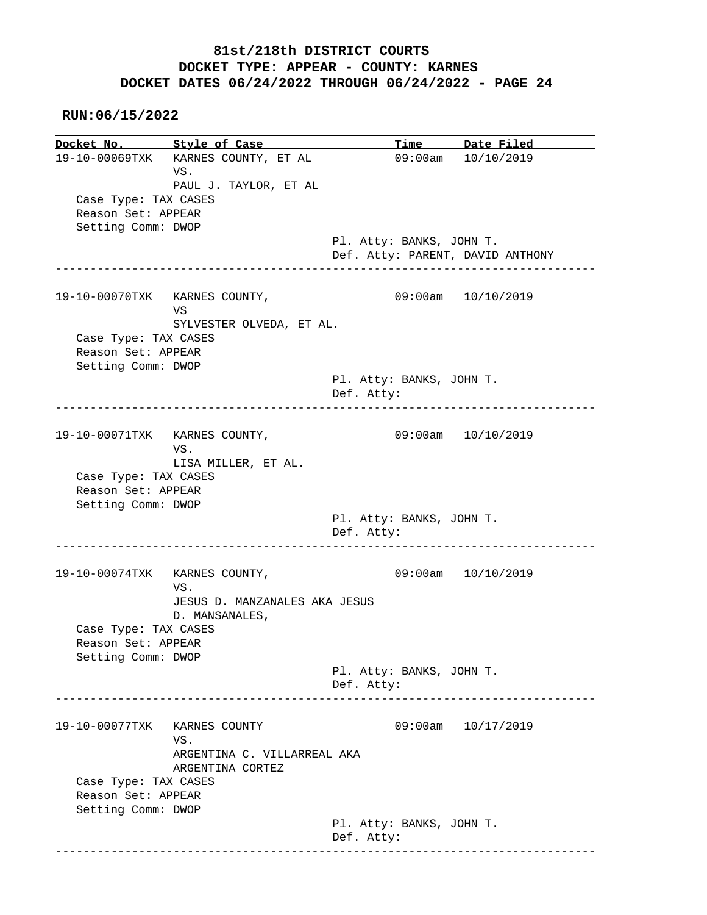**RUN:06/15/2022**

**Docket No.** Style of Case Time Date Filed 19-10-00069TXK KARNES COUNTY, ET AL 09:00am 10/10/2019 VS. PAUL J. TAYLOR, ET AL Case Type: TAX CASES Reason Set: APPEAR Setting Comm: DWOP Pl. Atty: BANKS, JOHN T. Def. Atty: PARENT, DAVID ANTHONY ------------------------------------------------------------------------------ 19-10-00070TXK KARNES COUNTY, 09:00am 10/10/2019 **VS** The Second Second Second Second Second Second Second Second Second Second Second Second Second Second Second Second Second Second Second Second Second Second Second Second Second Second Second Second Second Second Sec SYLVESTER OLVEDA, ET AL. Case Type: TAX CASES Reason Set: APPEAR Setting Comm: DWOP Pl. Atty: BANKS, JOHN T. Def. Atty: ------------------------------------------------------------------------------ 19-10-00071TXK KARNES COUNTY, 09:00am 10/10/2019 VS. LISA MILLER, ET AL. Case Type: TAX CASES Reason Set: APPEAR Setting Comm: DWOP Pl. Atty: BANKS, JOHN T. Def. Atty: ------------------------------------------------------------------------------ 19-10-00074TXK KARNES COUNTY, 09:00am 10/10/2019 VS. JESUS D. MANZANALES AKA JESUS D. MANSANALES, Case Type: TAX CASES Reason Set: APPEAR Setting Comm: DWOP Pl. Atty: BANKS, JOHN T. Def. Atty: ------------------------------------------------------------------------------ 19-10-00077TXK KARNES COUNTY 09:00am 10/17/2019 VS. ARGENTINA C. VILLARREAL AKA ARGENTINA CORTEZ Case Type: TAX CASES Reason Set: APPEAR Setting Comm: DWOP Pl. Atty: BANKS, JOHN T. Def. Atty: ------------------------------------------------------------------------------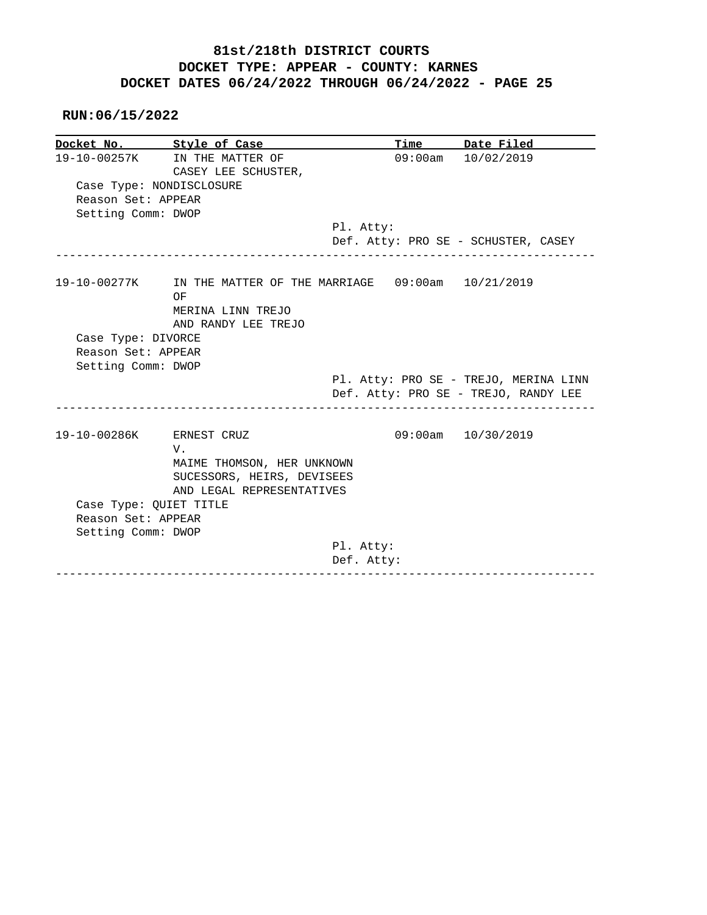|                          | Docket No. Style of Case                                      |                                  | Time Date Filed                                                               |
|--------------------------|---------------------------------------------------------------|----------------------------------|-------------------------------------------------------------------------------|
|                          | 19-10-00257K IN THE MATTER OF<br>CASEY LEE SCHUSTER,          |                                  | $09:00am$ $10/02/2019$                                                        |
|                          | Case Type: NONDISCLOSURE                                      |                                  |                                                                               |
| Reason Set: APPEAR       |                                                               |                                  |                                                                               |
| Setting Comm: DWOP       |                                                               |                                  |                                                                               |
|                          |                                                               | Pl. Atty:                        |                                                                               |
|                          |                                                               |                                  | Def. Atty: PRO SE - SCHUSTER, CASEY                                           |
|                          | 19-10-00277K IN THE MATTER OF THE MARRIAGE 09:00am 10/21/2019 |                                  |                                                                               |
|                          | OF                                                            |                                  |                                                                               |
|                          | MERINA LINN TREJO                                             |                                  |                                                                               |
|                          | AND RANDY LEE TREJO                                           |                                  |                                                                               |
|                          |                                                               |                                  |                                                                               |
| Case Type: DIVORCE       |                                                               |                                  |                                                                               |
| Reason Set: APPEAR       |                                                               |                                  |                                                                               |
| Setting Comm: DWOP       |                                                               |                                  |                                                                               |
|                          |                                                               |                                  |                                                                               |
|                          |                                                               | ________________________________ | Pl. Atty: PRO SE - TREJO, MERINA LINN<br>Def. Atty: PRO SE - TREJO, RANDY LEE |
| 19-10-00286K ERNEST CRUZ |                                                               |                                  | 09:00am 10/30/2019                                                            |
|                          | V.                                                            |                                  |                                                                               |
|                          | MAIME THOMSON, HER UNKNOWN                                    |                                  |                                                                               |
|                          | SUCESSORS, HEIRS, DEVISEES                                    |                                  |                                                                               |
|                          | AND LEGAL REPRESENTATIVES                                     |                                  |                                                                               |
| Case Type: QUIET TITLE   |                                                               |                                  |                                                                               |
| Reason Set: APPEAR       |                                                               |                                  |                                                                               |
| Setting Comm: DWOP       |                                                               |                                  |                                                                               |
|                          |                                                               | Pl. Atty:<br>Def. Atty:          |                                                                               |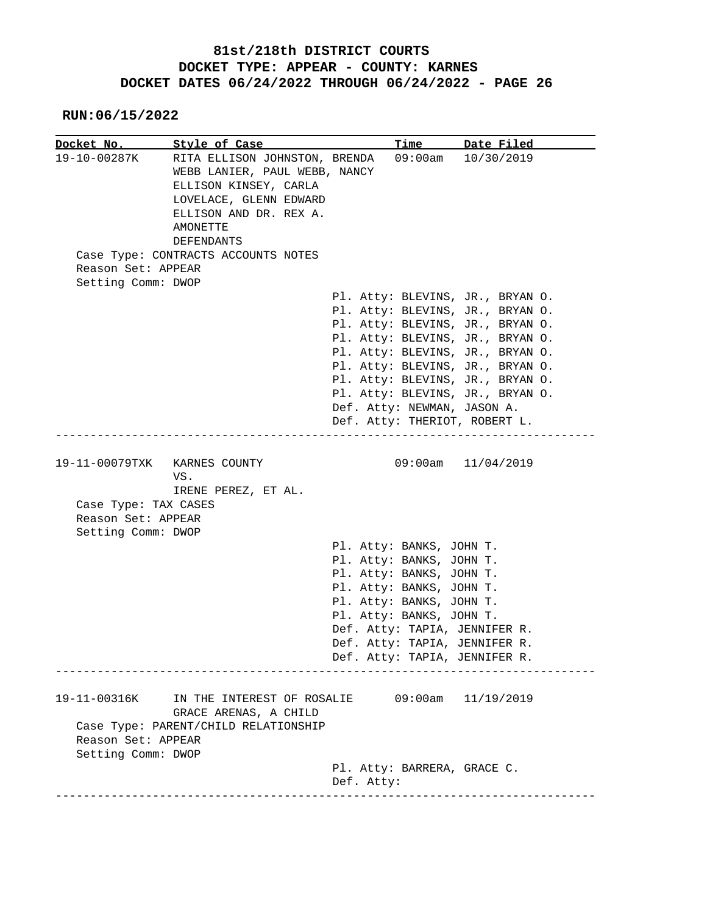|                                                                  | Docket No. Style of Case                                                                                                                                              |                             | Time Date Filed                                                                                                                              |
|------------------------------------------------------------------|-----------------------------------------------------------------------------------------------------------------------------------------------------------------------|-----------------------------|----------------------------------------------------------------------------------------------------------------------------------------------|
| 19-10-00287K                                                     | RITA ELLISON JOHNSTON, BRENDA<br>WEBB LANIER, PAUL WEBB, NANCY<br>ELLISON KINSEY, CARLA<br>LOVELACE, GLENN EDWARD<br>ELLISON AND DR. REX A.<br>AMONETTE<br>DEFENDANTS |                             | $09:00am$ $10/30/2019$                                                                                                                       |
| Reason Set: APPEAR                                               | Case Type: CONTRACTS ACCOUNTS NOTES                                                                                                                                   |                             |                                                                                                                                              |
| Setting Comm: DWOP                                               |                                                                                                                                                                       |                             |                                                                                                                                              |
|                                                                  |                                                                                                                                                                       |                             | Pl. Atty: BLEVINS, JR., BRYAN O.<br>Pl. Atty: BLEVINS, JR., BRYAN O.<br>Pl. Atty: BLEVINS, JR., BRYAN O.<br>Pl. Atty: BLEVINS, JR., BRYAN O. |
|                                                                  |                                                                                                                                                                       |                             | Pl. Atty: BLEVINS, JR., BRYAN O.                                                                                                             |
|                                                                  |                                                                                                                                                                       |                             | Pl. Atty: BLEVINS, JR., BRYAN O.                                                                                                             |
|                                                                  |                                                                                                                                                                       |                             | Pl. Atty: BLEVINS, JR., BRYAN O.                                                                                                             |
|                                                                  |                                                                                                                                                                       |                             | Pl. Atty: BLEVINS, JR., BRYAN O.                                                                                                             |
|                                                                  |                                                                                                                                                                       | Def. Atty: NEWMAN, JASON A. |                                                                                                                                              |
|                                                                  |                                                                                                                                                                       |                             | Def. Atty: THERIOT, ROBERT L.                                                                                                                |
|                                                                  | VS.                                                                                                                                                                   |                             | 09:00am 11/04/2019                                                                                                                           |
| Case Type: TAX CASES<br>Reason Set: APPEAR<br>Setting Comm: DWOP | IRENE PEREZ, ET AL.                                                                                                                                                   |                             |                                                                                                                                              |
|                                                                  |                                                                                                                                                                       | Pl. Atty: BANKS, JOHN T.    |                                                                                                                                              |
|                                                                  |                                                                                                                                                                       | Pl. Atty: BANKS, JOHN T.    |                                                                                                                                              |
|                                                                  |                                                                                                                                                                       | Pl. Atty: BANKS, JOHN T.    |                                                                                                                                              |
|                                                                  |                                                                                                                                                                       | Pl. Atty: BANKS, JOHN T.    |                                                                                                                                              |
|                                                                  |                                                                                                                                                                       | Pl. Atty: BANKS, JOHN T.    |                                                                                                                                              |
|                                                                  |                                                                                                                                                                       | Pl. Atty: BANKS, JOHN T.    |                                                                                                                                              |
|                                                                  |                                                                                                                                                                       |                             | Def. Atty: TAPIA, JENNIFER R.                                                                                                                |
|                                                                  |                                                                                                                                                                       |                             | Def. Atty: TAPIA, JENNIFER R.<br>Def. Atty: TAPIA, JENNIFER R.                                                                               |
|                                                                  |                                                                                                                                                                       |                             |                                                                                                                                              |
| 19-11-00316K                                                     | IN THE INTEREST OF ROSALIE<br>GRACE ARENAS, A CHILD                                                                                                                   |                             | $09:00am$ $11/19/2019$                                                                                                                       |
| Reason Set: APPEAR<br>Setting Comm: DWOP                         | Case Type: PARENT/CHILD RELATIONSHIP                                                                                                                                  |                             |                                                                                                                                              |
|                                                                  |                                                                                                                                                                       | Pl. Atty: BARRERA, GRACE C. |                                                                                                                                              |